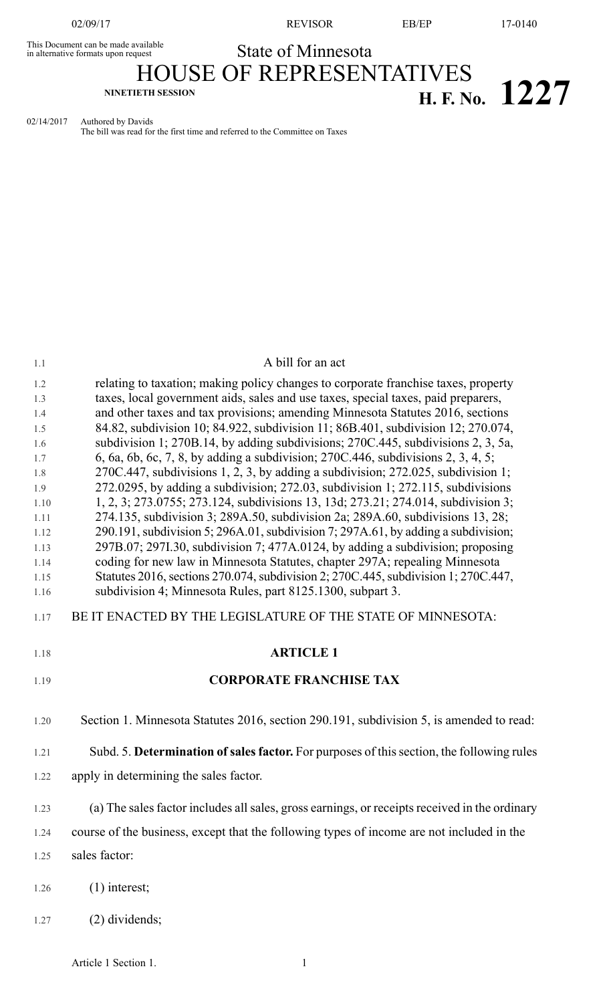This Document can be made available<br>in alternative formats upon request

02/09/17 REVISOR EB/EP 17-0140

State of Minnesota

HOUSE OF REPRESENTATIVES **NINETIETH SESSION H. F. No. 1227**

02/14/2017 Authored by Davids

The bill was read for the first time and referred to the Committee on Taxes

| 1.1          | A bill for an act                                                                                                                                                       |
|--------------|-------------------------------------------------------------------------------------------------------------------------------------------------------------------------|
| 1.2          | relating to taxation; making policy changes to corporate franchise taxes, property                                                                                      |
| 1.3          | taxes, local government aids, sales and use taxes, special taxes, paid preparers,                                                                                       |
| 1.4          | and other taxes and tax provisions; amending Minnesota Statutes 2016, sections                                                                                          |
| 1.5          | 84.82, subdivision 10; 84.922, subdivision 11; 86B.401, subdivision 12; 270.074,                                                                                        |
| 1.6<br>1.7   | subdivision 1; 270B.14, by adding subdivisions; 270C.445, subdivisions 2, 3, 5a,<br>6, 6a, 6b, 6c, 7, 8, by adding a subdivision; $270C.446$ , subdivisions 2, 3, 4, 5; |
| 1.8          | 270C.447, subdivisions 1, 2, 3, by adding a subdivision; 272.025, subdivision 1;                                                                                        |
| 1.9          | 272.0295, by adding a subdivision; 272.03, subdivision 1; 272.115, subdivisions                                                                                         |
| 1.10         | 1, 2, 3; 273.0755; 273.124, subdivisions 13, 13d; 273.21; 274.014, subdivision 3;                                                                                       |
| 1.11         | 274.135, subdivision 3; 289A.50, subdivision 2a; 289A.60, subdivisions 13, 28;                                                                                          |
| 1.12         | 290.191, subdivision 5; 296A.01, subdivision 7; 297A.61, by adding a subdivision;                                                                                       |
| 1.13         | 297B.07; 297I.30, subdivision 7; 477A.0124, by adding a subdivision; proposing                                                                                          |
| 1.14         | coding for new law in Minnesota Statutes, chapter 297A; repealing Minnesota                                                                                             |
| 1.15<br>1.16 | Statutes 2016, sections 270.074, subdivision 2; 270C.445, subdivision 1; 270C.447,<br>subdivision 4; Minnesota Rules, part 8125.1300, subpart 3.                        |
|              |                                                                                                                                                                         |
| 1.17         | BE IT ENACTED BY THE LEGISLATURE OF THE STATE OF MINNESOTA:                                                                                                             |
| 1.18         | <b>ARTICLE 1</b>                                                                                                                                                        |
|              |                                                                                                                                                                         |
| 1.19         | <b>CORPORATE FRANCHISE TAX</b>                                                                                                                                          |
| 1.20         | Section 1. Minnesota Statutes 2016, section 290.191, subdivision 5, is amended to read:                                                                                 |
| 1.21         | Subd. 5. Determination of sales factor. For purposes of this section, the following rules                                                                               |
| 1.22         | apply in determining the sales factor.                                                                                                                                  |
|              |                                                                                                                                                                         |
| 1.23         | (a) The sales factor includes all sales, gross earnings, or receipts received in the ordinary                                                                           |
| 1.24         | course of the business, except that the following types of income are not included in the                                                                               |
| 1.25         | sales factor:                                                                                                                                                           |
| 1.26         | $(1)$ interest;                                                                                                                                                         |
| 1.27         | $(2)$ dividends;                                                                                                                                                        |

Article 1 Section 1.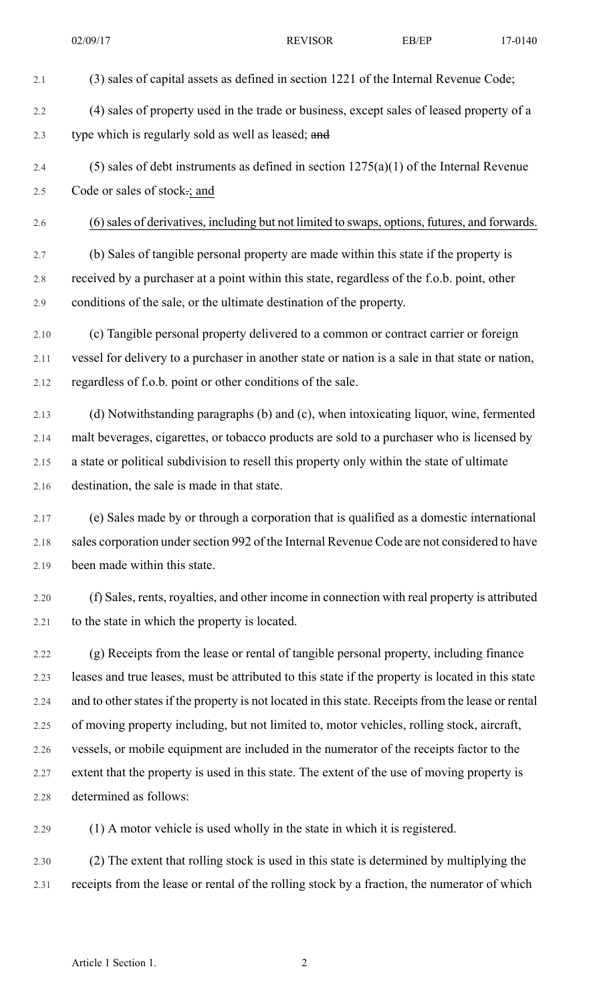2.1 (3) sales of capital assets as defined in section 1221 of the Internal Revenue Code; 2.2 (4) sales of property used in the trade or business, except sales of leased property of a 2.3 type which is regularly sold as well as leased; and 2.4 (5) sales of debt instruments as defined in section  $1275(a)(1)$  of the Internal Revenue 2.5 Code or sales of stock.; and 02/09/17 REVISOR EB/EP 17-0140

2.6 (6)sales of derivatives, including but not limited to swaps, options, futures, and forwards. 2.7 (b) Sales of tangible personal property are made within this state if the property is

2.8 received by a purchaser at a point within this state, regardless of the f.o.b. point, other 2.9 conditions of the sale, or the ultimate destination of the property.

2.10 (c) Tangible personal property delivered to a common or contract carrier or foreign 2.11 vessel for delivery to a purchaser in another state or nation is a sale in that state or nation, 2.12 regardless of f.o.b. point or other conditions of the sale.

2.13 (d) Notwithstanding paragraphs (b) and (c), when intoxicating liquor, wine, fermented 2.14 malt beverages, cigarettes, or tobacco products are sold to a purchaser who is licensed by 2.15 a state or political subdivision to resell this property only within the state of ultimate 2.16 destination, the sale is made in that state.

2.17 (e) Sales made by or through a corporation that is qualified as a domestic international 2.18 sales corporation under section 992 of the Internal Revenue Code are not considered to have 2.19 been made within this state.

2.20 (f) Sales, rents, royalties, and other income in connection with real property is attributed 2.21 to the state in which the property is located.

2.22 (g) Receipts from the lease or rental of tangible personal property, including finance 2.23 leases and true leases, must be attributed to this state if the property is located in this state 2.24 and to other states if the property is not located in this state. Receipts from the lease or rental 2.25 of moving property including, but not limited to, motor vehicles, rolling stock, aircraft, 2.26 vessels, or mobile equipment are included in the numerator of the receipts factor to the 2.27 extent that the property is used in this state. The extent of the use of moving property is 2.28 determined as follows:

2.29 (1) A motor vehicle is used wholly in the state in which it is registered.

2.30 (2) The extent that rolling stock is used in this state is determined by multiplying the 2.31 receipts from the lease or rental of the rolling stock by a fraction, the numerator of which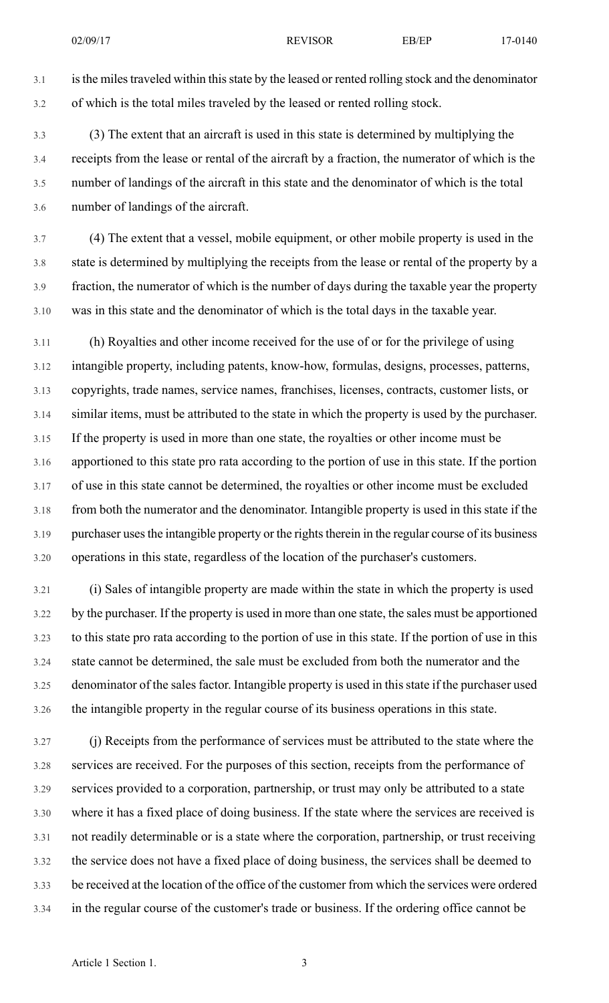3.1 is the miles traveled within this state by the leased or rented rolling stock and the denominator 3.2 of which is the total miles traveled by the leased or rented rolling stock.

3.3 (3) The extent that an aircraft is used in this state is determined by multiplying the 3.4 receipts from the lease or rental of the aircraft by a fraction, the numerator of which is the 3.5 number of landings of the aircraft in this state and the denominator of which is the total 3.6 number of landings of the aircraft.

3.7 (4) The extent that a vessel, mobile equipment, or other mobile property is used in the 3.8 state is determined by multiplying the receipts from the lease or rental of the property by a 3.9 fraction, the numerator of which is the number of days during the taxable year the property 3.10 was in this state and the denominator of which is the total days in the taxable year.

3.11 (h) Royalties and other income received for the use of or for the privilege of using 3.12 intangible property, including patents, know-how, formulas, designs, processes, patterns, 3.13 copyrights, trade names, service names, franchises, licenses, contracts, customer lists, or 3.14 similar items, must be attributed to the state in which the property is used by the purchaser. 3.15 If the property is used in more than one state, the royalties or other income must be 3.16 apportioned to this state pro rata according to the portion of use in this state. If the portion 3.17 of use in this state cannot be determined, the royalties or other income must be excluded 3.18 from both the numerator and the denominator. Intangible property is used in this state if the 3.19 purchaser uses the intangible property or the rights therein in the regular course of its business 3.20 operations in this state, regardless of the location of the purchaser's customers.

3.21 (i) Sales of intangible property are made within the state in which the property is used 3.22 by the purchaser. If the property is used in more than one state, the sales must be apportioned 3.23 to this state pro rata according to the portion of use in this state. If the portion of use in this 3.24 state cannot be determined, the sale must be excluded from both the numerator and the 3.25 denominator of the sales factor. Intangible property is used in this state if the purchaser used 3.26 the intangible property in the regular course of its business operations in this state.

3.27 (j) Receipts from the performance of services must be attributed to the state where the 3.28 services are received. For the purposes of this section, receipts from the performance of 3.29 services provided to a corporation, partnership, or trust may only be attributed to a state 3.30 where it has a fixed place of doing business. If the state where the services are received is 3.31 not readily determinable or is a state where the corporation, partnership, or trust receiving 3.32 the service does not have a fixed place of doing business, the services shall be deemed to 3.33 be received at the location of the office of the customer from which the services were ordered 3.34 in the regular course of the customer's trade or business. If the ordering office cannot be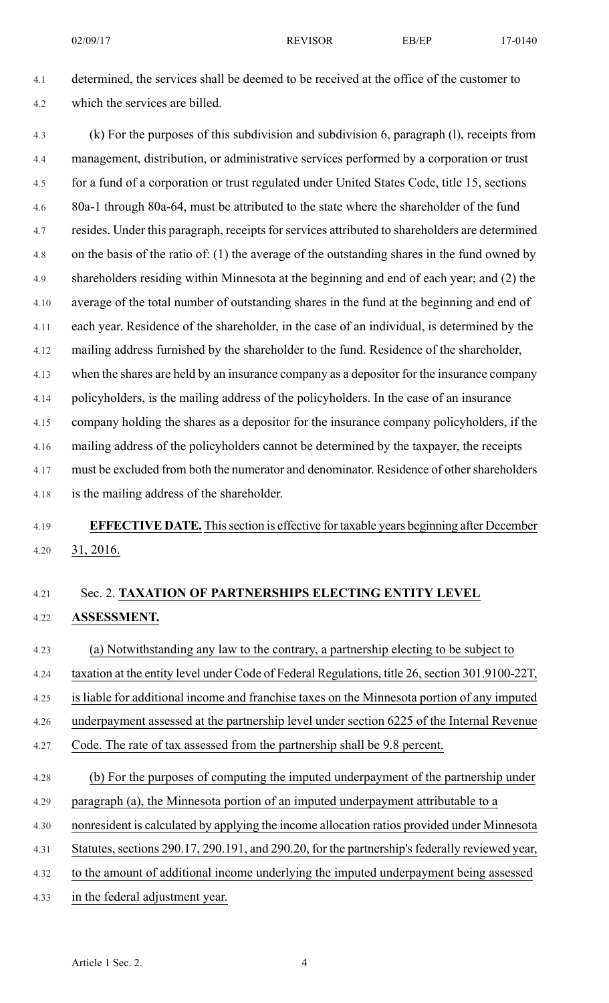4.1 determined, the services shall be deemed to be received at the office of the customer to 4.2 which the services are billed.

4.3 (k) For the purposes of this subdivision and subdivision 6, paragraph (l), receipts from 4.4 management, distribution, or administrative services performed by a corporation or trust 4.5 for a fund of a corporation or trust regulated under United States Code, title 15, sections 4.6 80a-1 through 80a-64, must be attributed to the state where the shareholder of the fund 4.7 resides. Under this paragraph, receipts for services attributed to shareholders are determined 4.8 on the basis of the ratio of: (1) the average of the outstanding shares in the fund owned by 4.9 shareholders residing within Minnesota at the beginning and end of each year; and (2) the 4.10 average of the total number of outstanding shares in the fund at the beginning and end of 4.11 each year. Residence of the shareholder, in the case of an individual, is determined by the 4.12 mailing address furnished by the shareholder to the fund. Residence of the shareholder, 4.13 when the shares are held by an insurance company as a depositor for the insurance company 4.14 policyholders, is the mailing address of the policyholders. In the case of an insurance 4.15 company holding the shares as a depositor for the insurance company policyholders, if the 4.16 mailing address of the policyholders cannot be determined by the taxpayer, the receipts 4.17 must be excluded from both the numerator and denominator. Residence of other shareholders 4.18 is the mailing address of the shareholder.

### 4.19 **EFFECTIVE DATE.** Thissection is effective for taxable years beginning after December 4.20 31, 2016.

### 4.21 Sec. 2. **TAXATION OF PARTNERSHIPS ELECTING ENTITY LEVEL** 4.22 **ASSESSMENT.**

- 4.23 (a) Notwithstanding any law to the contrary, a partnership electing to be subject to 4.24 taxation at the entity level under Code of Federal Regulations, title 26, section 301.9100-22T, 4.25 is liable for additional income and franchise taxes on the Minnesota portion of any imputed 4.26 underpayment assessed at the partnership level under section 6225 of the Internal Revenue 4.27 Code. The rate of tax assessed from the partnership shall be 9.8 percent. 4.28 (b) For the purposes of computing the imputed underpayment of the partnership under 4.29 paragraph (a), the Minnesota portion of an imputed underpayment attributable to a 4.30 nonresident is calculated by applying the income allocation ratios provided under Minnesota
- 4.31 Statutes, sections 290.17, 290.191, and 290.20, for the partnership's federally reviewed year,
- 4.32 to the amount of additional income underlying the imputed underpayment being assessed
- 4.33 in the federal adjustment year.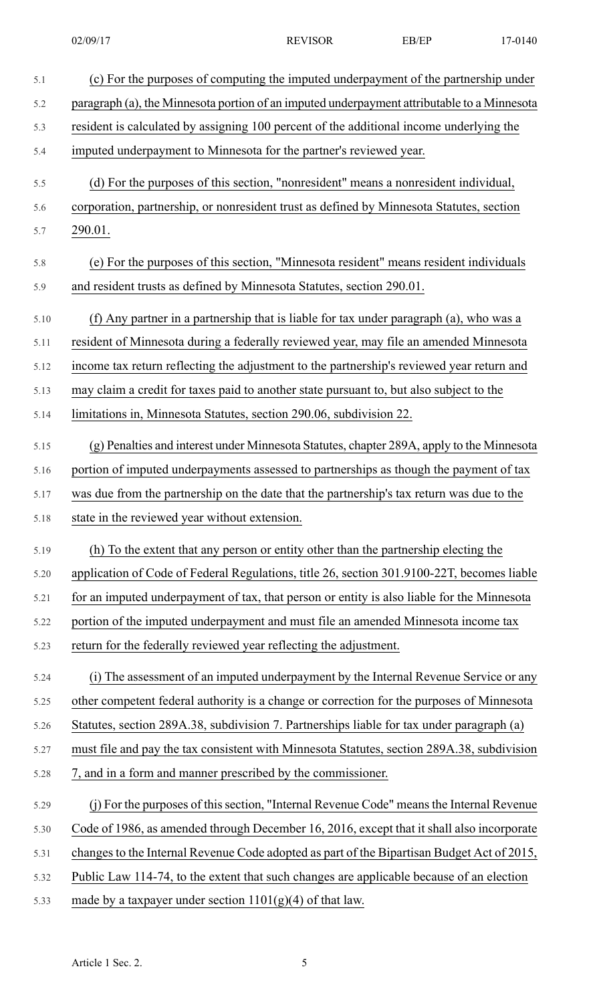| 5.1  | (c) For the purposes of computing the imputed underpayment of the partnership under         |
|------|---------------------------------------------------------------------------------------------|
| 5.2  | paragraph (a), the Minnesota portion of an imputed underpayment attributable to a Minnesota |
| 5.3  | resident is calculated by assigning 100 percent of the additional income underlying the     |
| 5.4  | imputed underpayment to Minnesota for the partner's reviewed year.                          |
| 5.5  | (d) For the purposes of this section, "nonresident" means a nonresident individual,         |
| 5.6  | corporation, partnership, or nonresident trust as defined by Minnesota Statutes, section    |
| 5.7  | 290.01.                                                                                     |
| 5.8  | (e) For the purposes of this section, "Minnesota resident" means resident individuals       |
| 5.9  | and resident trusts as defined by Minnesota Statutes, section 290.01.                       |
| 5.10 | (f) Any partner in a partnership that is liable for tax under paragraph (a), who was a      |
| 5.11 | resident of Minnesota during a federally reviewed year, may file an amended Minnesota       |
| 5.12 | income tax return reflecting the adjustment to the partnership's reviewed year return and   |
| 5.13 | may claim a credit for taxes paid to another state pursuant to, but also subject to the     |
| 5.14 | limitations in, Minnesota Statutes, section 290.06, subdivision 22.                         |
| 5.15 | (g) Penalties and interest under Minnesota Statutes, chapter 289A, apply to the Minnesota   |
| 5.16 | portion of imputed underpayments assessed to partnerships as though the payment of tax      |
| 5.17 | was due from the partnership on the date that the partnership's tax return was due to the   |
| 5.18 | state in the reviewed year without extension.                                               |
| 5.19 | (h) To the extent that any person or entity other than the partnership electing the         |
| 5.20 | application of Code of Federal Regulations, title 26, section 301.9100-22T, becomes liable  |
| 5.21 | for an imputed underpayment of tax, that person or entity is also liable for the Minnesota  |
| 5.22 | portion of the imputed underpayment and must file an amended Minnesota income tax           |
| 5.23 | return for the federally reviewed year reflecting the adjustment.                           |
| 5.24 | (i) The assessment of an imputed underpayment by the Internal Revenue Service or any        |
| 5.25 | other competent federal authority is a change or correction for the purposes of Minnesota   |
| 5.26 | Statutes, section 289A.38, subdivision 7. Partnerships liable for tax under paragraph (a)   |
| 5.27 | must file and pay the tax consistent with Minnesota Statutes, section 289A.38, subdivision  |
| 5.28 | 7, and in a form and manner prescribed by the commissioner.                                 |
| 5.29 | (j) For the purposes of this section, "Internal Revenue Code" means the Internal Revenue    |
| 5.30 | Code of 1986, as amended through December 16, 2016, except that it shall also incorporate   |
| 5.31 | changes to the Internal Revenue Code adopted as part of the Bipartisan Budget Act of 2015,  |
| 5.32 | Public Law 114-74, to the extent that such changes are applicable because of an election    |
| 5.33 | made by a taxpayer under section $1101(g)(4)$ of that law.                                  |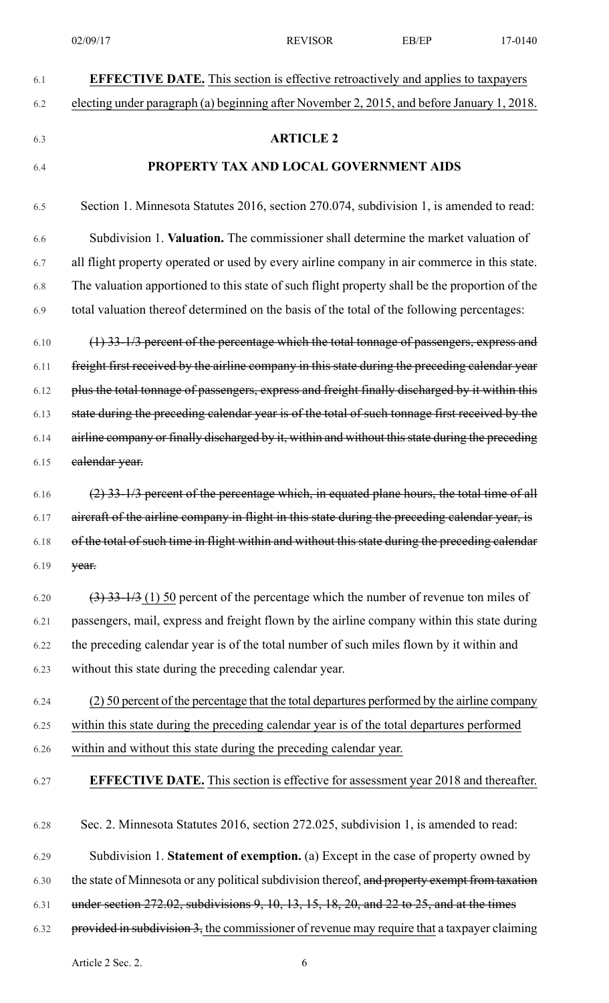| 6.1  | <b>EFFECTIVE DATE.</b> This section is effective retroactively and applies to taxpayers                     |
|------|-------------------------------------------------------------------------------------------------------------|
| 6.2  | electing under paragraph (a) beginning after November 2, 2015, and before January 1, 2018.                  |
| 6.3  | <b>ARTICLE 2</b>                                                                                            |
| 6.4  | PROPERTY TAX AND LOCAL GOVERNMENT AIDS                                                                      |
| 6.5  | Section 1. Minnesota Statutes 2016, section 270.074, subdivision 1, is amended to read:                     |
| 6.6  | Subdivision 1. Valuation. The commissioner shall determine the market valuation of                          |
| 6.7  | all flight property operated or used by every airline company in air commerce in this state.                |
| 6.8  | The valuation apportioned to this state of such flight property shall be the proportion of the              |
| 6.9  | total valuation thereof determined on the basis of the total of the following percentages:                  |
| 6.10 | $(1)$ 33-1/3 percent of the percentage which the total tonnage of passengers, express and                   |
| 6.11 | freight first received by the airline company in this state during the preceding calendar year              |
| 6.12 | plus the total tonnage of passengers, express and freight finally discharged by it within this              |
| 6.13 | state during the preceding calendar year is of the total of such tonnage first received by the              |
| 6.14 | airline company or finally discharged by it, within and without this state during the preceding             |
| 6.15 | ealendar year.                                                                                              |
| 6.16 | (2) 33-1/3 percent of the percentage which, in equated plane hours, the total time of all                   |
| 6.17 | aircraft of the airline company in flight in this state during the preceding calendar year, is              |
| 6.18 | of the total of such time in flight within and without this state during the preceding calendar             |
| 6.19 | year.                                                                                                       |
| 6.20 | $\left(\frac{3}{2}\right)$ 33-1/3 (1) 50 percent of the percentage which the number of revenue ton miles of |
| 6.21 | passengers, mail, express and freight flown by the airline company within this state during                 |
| 6.22 | the preceding calendar year is of the total number of such miles flown by it within and                     |
| 6.23 | without this state during the preceding calendar year.                                                      |
| 6.24 | (2) 50 percent of the percentage that the total departures performed by the airline company                 |
| 6.25 | within this state during the preceding calendar year is of the total departures performed                   |
| 6.26 | within and without this state during the preceding calendar year.                                           |
| 6.27 | <b>EFFECTIVE DATE.</b> This section is effective for assessment year 2018 and thereafter.                   |
| 6.28 | Sec. 2. Minnesota Statutes 2016, section 272.025, subdivision 1, is amended to read:                        |
| 6.29 | Subdivision 1. Statement of exemption. (a) Except in the case of property owned by                          |
| 6.30 | the state of Minnesota or any political subdivision thereof, and property exempt from taxation              |
| 6.31 | under section $272.02$ , subdivisions 9, 10, 13, 15, 18, 20, and 22 to 25, and at the times                 |
| 6.32 | provided in subdivision 3, the commissioner of revenue may require that a taxpayer claiming                 |
|      |                                                                                                             |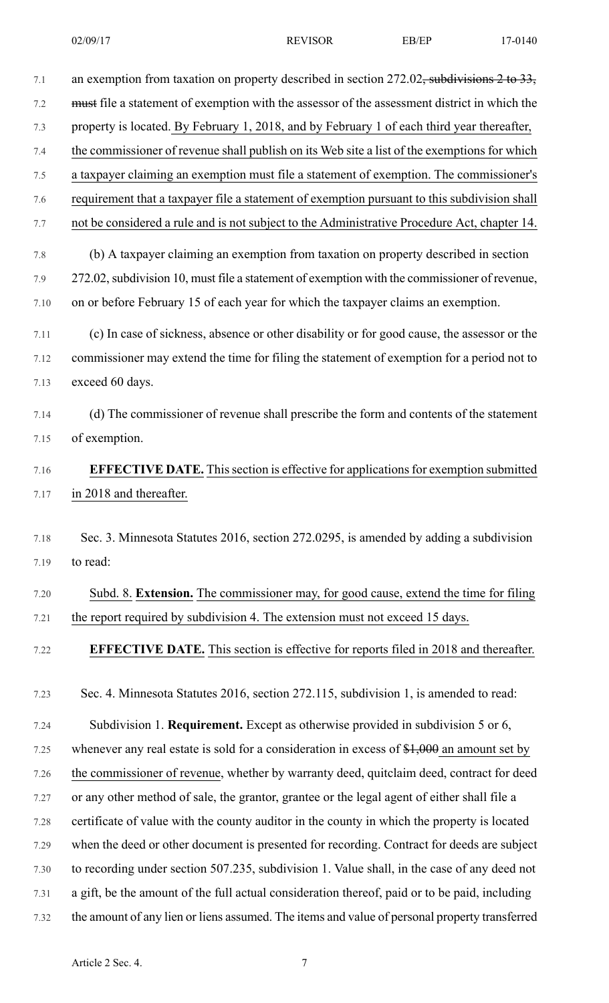| 7.1  | an exemption from taxation on property described in section $272.02$ , subdivisions 2 to 33,  |
|------|-----------------------------------------------------------------------------------------------|
| 7.2  | must file a statement of exemption with the assessor of the assessment district in which the  |
| 7.3  | property is located. By February 1, 2018, and by February 1 of each third year thereafter,    |
| 7.4  | the commissioner of revenue shall publish on its Web site a list of the exemptions for which  |
| 7.5  | a taxpayer claiming an exemption must file a statement of exemption. The commissioner's       |
| 7.6  | requirement that a taxpayer file a statement of exemption pursuant to this subdivision shall  |
| 7.7  | not be considered a rule and is not subject to the Administrative Procedure Act, chapter 14.  |
| 7.8  | (b) A taxpayer claiming an exemption from taxation on property described in section           |
| 7.9  | 272.02, subdivision 10, must file a statement of exemption with the commissioner of revenue,  |
| 7.10 | on or before February 15 of each year for which the taxpayer claims an exemption.             |
| 7.11 | (c) In case of sickness, absence or other disability or for good cause, the assessor or the   |
| 7.12 | commissioner may extend the time for filing the statement of exemption for a period not to    |
| 7.13 | exceed 60 days.                                                                               |
| 7.14 | (d) The commissioner of revenue shall prescribe the form and contents of the statement        |
| 7.15 | of exemption.                                                                                 |
| 7.16 | <b>EFFECTIVE DATE.</b> This section is effective for applications for exemption submitted     |
| 7.17 | in 2018 and thereafter.                                                                       |
|      |                                                                                               |
| 7.18 | Sec. 3. Minnesota Statutes 2016, section 272.0295, is amended by adding a subdivision         |
| 7.19 | to read:                                                                                      |
| 7.20 | Subd. 8. Extension. The commissioner may, for good cause, extend the time for filing          |
| 7.21 | the report required by subdivision 4. The extension must not exceed 15 days.                  |
| 7.22 | <b>EFFECTIVE DATE.</b> This section is effective for reports filed in 2018 and thereafter.    |
|      |                                                                                               |
| 7.23 | Sec. 4. Minnesota Statutes 2016, section 272.115, subdivision 1, is amended to read:          |
| 7.24 | Subdivision 1. Requirement. Except as otherwise provided in subdivision 5 or 6,               |
| 7.25 | whenever any real estate is sold for a consideration in excess of $$1,000$ an amount set by   |
| 7.26 | the commissioner of revenue, whether by warranty deed, quitclaim deed, contract for deed      |
| 7.27 | or any other method of sale, the grantor, grantee or the legal agent of either shall file a   |
| 7.28 | certificate of value with the county auditor in the county in which the property is located   |
| 7.29 | when the deed or other document is presented for recording. Contract for deeds are subject    |
| 7.30 | to recording under section 507.235, subdivision 1. Value shall, in the case of any deed not   |
| 7.31 | a gift, be the amount of the full actual consideration thereof, paid or to be paid, including |
| 7.32 | the amount of any lien or liens assumed. The items and value of personal property transferred |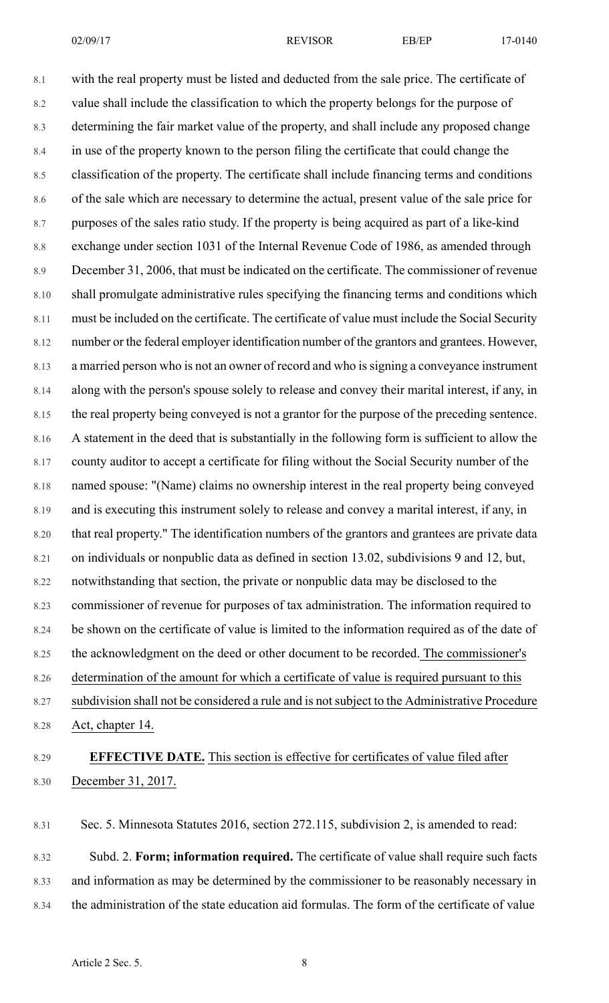8.1 with the real property must be listed and deducted from the sale price. The certificate of 8.2 value shall include the classification to which the property belongs for the purpose of 8.3 determining the fair market value of the property, and shall include any proposed change 8.4 in use of the property known to the person filing the certificate that could change the 8.5 classification of the property. The certificate shall include financing terms and conditions 8.6 of the sale which are necessary to determine the actual, present value of the sale price for 8.7 purposes of the sales ratio study. If the property is being acquired as part of a like-kind 8.8 exchange under section 1031 of the Internal Revenue Code of 1986, as amended through 8.9 December 31, 2006, that must be indicated on the certificate. The commissioner of revenue 8.10 shall promulgate administrative rules specifying the financing terms and conditions which 8.11 must be included on the certificate. The certificate of value must include the Social Security 8.12 number or the federal employer identification number of the grantors and grantees. However, 8.13 a married person who is not an owner of record and who is signing a conveyance instrument 8.14 along with the person's spouse solely to release and convey their marital interest, if any, in 8.15 the real property being conveyed is not a grantor for the purpose of the preceding sentence. 8.16 A statement in the deed that is substantially in the following form is sufficient to allow the 8.17 county auditor to accept a certificate for filing without the Social Security number of the 8.18 named spouse: "(Name) claims no ownership interest in the real property being conveyed 8.19 and is executing this instrument solely to release and convey a marital interest, if any, in 8.20 that real property." The identification numbers of the grantors and grantees are private data 8.21 on individuals or nonpublic data as defined in section 13.02, subdivisions 9 and 12, but, 8.22 notwithstanding that section, the private or nonpublic data may be disclosed to the 8.23 commissioner of revenue for purposes of tax administration. The information required to 8.24 be shown on the certificate of value is limited to the information required as of the date of 8.25 the acknowledgment on the deed or other document to be recorded. The commissioner's 8.26 determination of the amount for which a certificate of value is required pursuant to this 8.27 subdivision shall not be considered a rule and is not subject to the Administrative Procedure 8.28 Act, chapter 14.

### 8.29 **EFFECTIVE DATE.** This section is effective for certificates of value filed after 8.30 December 31, 2017.

8.31 Sec. 5. Minnesota Statutes 2016, section 272.115, subdivision 2, is amended to read:

8.32 Subd. 2. **Form; information required.** The certificate of value shall require such facts 8.33 and information as may be determined by the commissioner to be reasonably necessary in 8.34 the administration of the state education aid formulas. The form of the certificate of value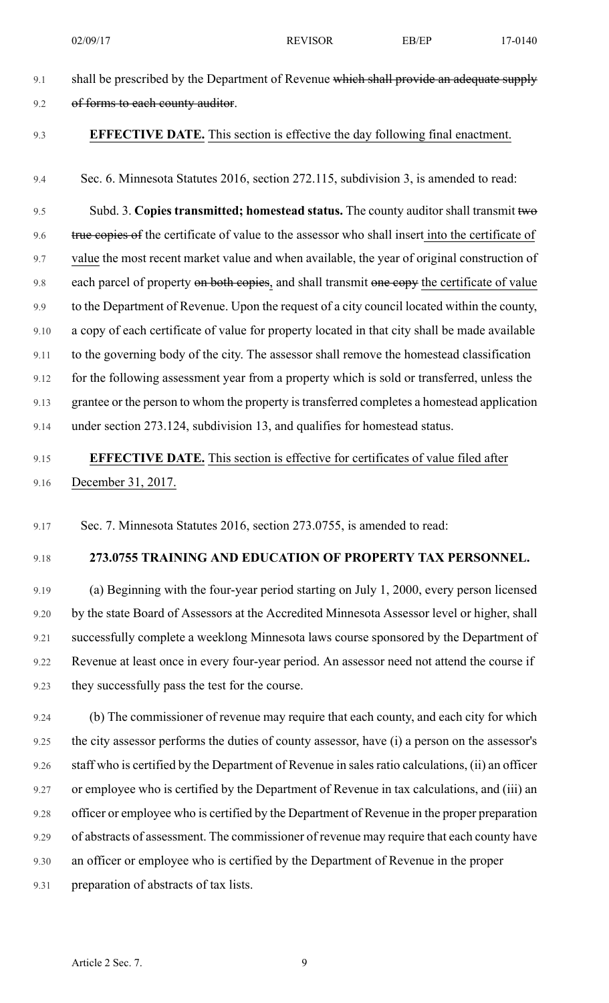- 9.1 shall be prescribed by the Department of Revenue which shall provide an adequate supply 9.2 of forms to each county auditor.
- 

#### 9.3 **EFFECTIVE DATE.** This section is effective the day following final enactment.

9.4 Sec. 6. Minnesota Statutes 2016, section 272.115, subdivision 3, is amended to read:

9.5 Subd. 3. **Copies transmitted; homestead status.** The county auditor shall transmit two 9.6 true copies of the certificate of value to the assessor who shall insert into the certificate of 9.7 value the most recent market value and when available, the year of original construction of 9.8 each parcel of property on both copies, and shall transmit one copy the certificate of value 9.9 to the Department of Revenue. Upon the request of a city council located within the county, 9.10 a copy of each certificate of value for property located in that city shall be made available 9.11 to the governing body of the city. The assessor shall remove the homestead classification 9.12 for the following assessment year from a property which is sold or transferred, unless the 9.13 grantee or the person to whom the property istransferred completes a homestead application 9.14 under section 273.124, subdivision 13, and qualifies for homestead status.

### 9.15 **EFFECTIVE DATE.** This section is effective for certificates of value filed after 9.16 December 31, 2017.

9.17 Sec. 7. Minnesota Statutes 2016, section 273.0755, is amended to read:

#### 9.18 **273.0755 TRAINING AND EDUCATION OF PROPERTY TAX PERSONNEL.**

9.19 (a) Beginning with the four-year period starting on July 1, 2000, every person licensed 9.20 by the state Board of Assessors at the Accredited Minnesota Assessor level or higher, shall 9.21 successfully complete a weeklong Minnesota laws course sponsored by the Department of 9.22 Revenue at least once in every four-year period. An assessor need not attend the course if 9.23 they successfully pass the test for the course.

9.24 (b) The commissioner of revenue may require that each county, and each city for which 9.25 the city assessor performs the duties of county assessor, have (i) a person on the assessor's 9.26 staff who is certified by the Department of Revenue in salesratio calculations, (ii) an officer 9.27 or employee who is certified by the Department of Revenue in tax calculations, and (iii) an 9.28 officer or employee who is certified by the Department of Revenue in the proper preparation 9.29 of abstracts of assessment. The commissioner of revenue may require that each county have 9.30 an officer or employee who is certified by the Department of Revenue in the proper

9.31 preparation of abstracts of tax lists.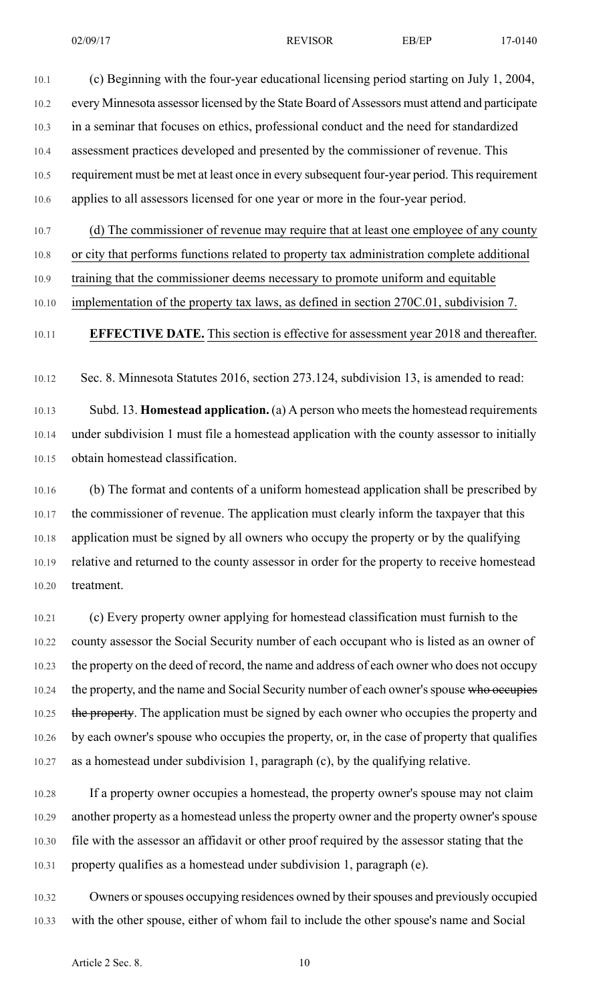10.1 (c) Beginning with the four-year educational licensing period starting on July 1, 2004, 10.2 every Minnesota assessor licensed by the State Board of Assessors must attend and participate 10.3 in a seminar that focuses on ethics, professional conduct and the need for standardized 10.4 assessment practices developed and presented by the commissioner of revenue. This 10.5 requirement must be met at least once in every subsequent four-year period. This requirement 10.6 applies to all assessors licensed for one year or more in the four-year period.

10.7 (d) The commissioner of revenue may require that at least one employee of any county

10.8 or city that performs functions related to property tax administration complete additional

10.9 training that the commissioner deems necessary to promote uniform and equitable

10.10 implementation of the property tax laws, as defined in section 270C.01, subdivision 7.

#### 10.11 **EFFECTIVE DATE.** This section is effective for assessment year 2018 and thereafter.

10.12 Sec. 8. Minnesota Statutes 2016, section 273.124, subdivision 13, is amended to read:

10.13 Subd. 13. **Homestead application.** (a) A person who meetsthe homestead requirements 10.14 under subdivision 1 must file a homestead application with the county assessor to initially 10.15 obtain homestead classification.

10.16 (b) The format and contents of a uniform homestead application shall be prescribed by 10.17 the commissioner of revenue. The application must clearly inform the taxpayer that this 10.18 application must be signed by all owners who occupy the property or by the qualifying 10.19 relative and returned to the county assessor in order for the property to receive homestead 10.20 treatment.

10.21 (c) Every property owner applying for homestead classification must furnish to the 10.22 county assessor the Social Security number of each occupant who is listed as an owner of 10.23 the property on the deed of record, the name and address of each owner who does not occupy 10.24 the property, and the name and Social Security number of each owner's spouse who occupies 10.25 the property. The application must be signed by each owner who occupies the property and 10.26 by each owner's spouse who occupies the property, or, in the case of property that qualifies 10.27 as a homestead under subdivision 1, paragraph (c), by the qualifying relative.

10.28 If a property owner occupies a homestead, the property owner's spouse may not claim 10.29 another property as a homestead unless the property owner and the property owner's spouse 10.30 file with the assessor an affidavit or other proof required by the assessor stating that the 10.31 property qualifies as a homestead under subdivision 1, paragraph (e).

10.32 Owners or spouses occupying residences owned by their spouses and previously occupied 10.33 with the other spouse, either of whom fail to include the other spouse's name and Social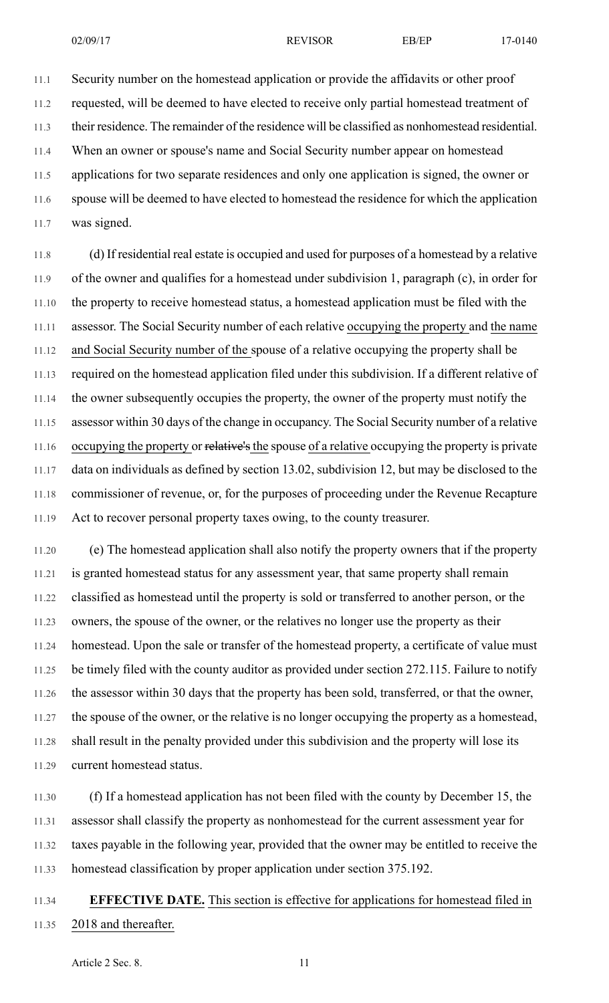11.1 Security number on the homestead application or provide the affidavits or other proof

11.2 requested, will be deemed to have elected to receive only partial homestead treatment of

11.3 their residence. The remainder of the residence will be classified as nonhomestead residential.

11.4 When an owner or spouse's name and Social Security number appear on homestead

11.5 applications for two separate residences and only one application is signed, the owner or

11.6 spouse will be deemed to have elected to homestead the residence for which the application 11.7 was signed.

11.8 (d) If residential real estate is occupied and used for purposes of a homestead by a relative 11.9 of the owner and qualifies for a homestead under subdivision 1, paragraph (c), in order for 11.10 the property to receive homestead status, a homestead application must be filed with the 11.11 assessor. The Social Security number of each relative occupying the property and the name 11.12 and Social Security number of the spouse of a relative occupying the property shall be 11.13 required on the homestead application filed under this subdivision. If a different relative of 11.14 the owner subsequently occupies the property, the owner of the property must notify the 11.15 assessor within 30 days of the change in occupancy. The Social Security number of a relative 11.16 occupying the property or relative's the spouse of a relative occupying the property is private 11.17 data on individuals as defined by section 13.02, subdivision 12, but may be disclosed to the 11.18 commissioner of revenue, or, for the purposes of proceeding under the Revenue Recapture 11.19 Act to recover personal property taxes owing, to the county treasurer.

11.20 (e) The homestead application shall also notify the property owners that if the property 11.21 is granted homestead status for any assessment year, that same property shall remain 11.22 classified as homestead until the property is sold or transferred to another person, or the 11.23 owners, the spouse of the owner, or the relatives no longer use the property as their 11.24 homestead. Upon the sale or transfer of the homestead property, a certificate of value must 11.25 be timely filed with the county auditor as provided under section 272.115. Failure to notify 11.26 the assessor within 30 days that the property has been sold, transferred, or that the owner, 11.27 the spouse of the owner, or the relative is no longer occupying the property as a homestead, 11.28 shall result in the penalty provided under this subdivision and the property will lose its 11.29 current homestead status.

11.30 (f) If a homestead application has not been filed with the county by December 15, the 11.31 assessor shall classify the property as nonhomestead for the current assessment year for 11.32 taxes payable in the following year, provided that the owner may be entitled to receive the 11.33 homestead classification by proper application under section 375.192.

### 11.34 **EFFECTIVE DATE.** This section is effective for applications for homestead filed in 11.35 2018 and thereafter.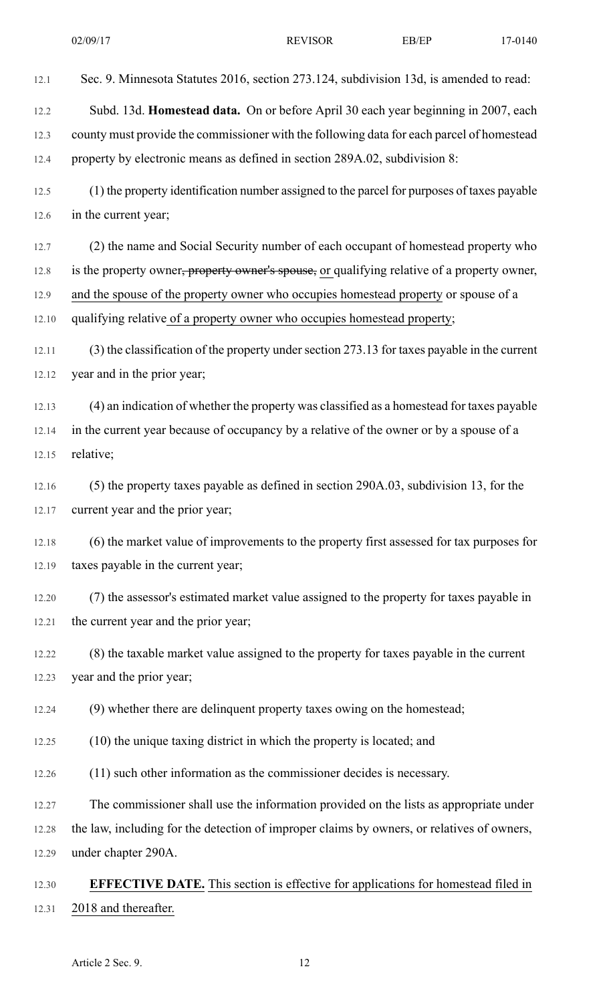12.1 Sec. 9. Minnesota Statutes 2016, section 273.124, subdivision 13d, is amended to read: 12.2 Subd. 13d. **Homestead data.** On or before April 30 each year beginning in 2007, each 12.3 county must provide the commissioner with the following data for each parcel of homestead 12.4 property by electronic means as defined in section 289A.02, subdivision 8: 12.5 (1) the property identification number assigned to the parcel for purposes of taxes payable 12.6 in the current year; 12.7 (2) the name and Social Security number of each occupant of homestead property who 12.8 is the property owner<del>, property owner's spouse,</del> or qualifying relative of a property owner, 12.9 and the spouse of the property owner who occupies homestead property or spouse of a 12.10 qualifying relative of a property owner who occupies homestead property; 12.11 (3) the classification of the property under section 273.13 for taxes payable in the current 12.12 year and in the prior year; 12.13 (4) an indication of whether the property was classified as a homestead for taxes payable 12.14 in the current year because of occupancy by a relative of the owner or by a spouse of a 12.15 relative; 12.16 (5) the property taxes payable as defined in section 290A.03, subdivision 13, for the 12.17 current year and the prior year; 12.18 (6) the market value of improvements to the property first assessed for tax purposes for 12.19 taxes payable in the current year; 12.20 (7) the assessor's estimated market value assigned to the property for taxes payable in 12.21 the current year and the prior year; 12.22 (8) the taxable market value assigned to the property for taxes payable in the current 12.23 year and the prior year; 12.24 (9) whether there are delinquent property taxes owing on the homestead; 12.25 (10) the unique taxing district in which the property is located; and 12.26 (11) such other information as the commissioner decides is necessary. 12.27 The commissioner shall use the information provided on the lists as appropriate under 12.28 the law, including for the detection of improper claims by owners, or relatives of owners, 12.29 under chapter 290A. 12.30 **EFFECTIVE DATE.** This section is effective for applications for homestead filed in 12.31 2018 and thereafter.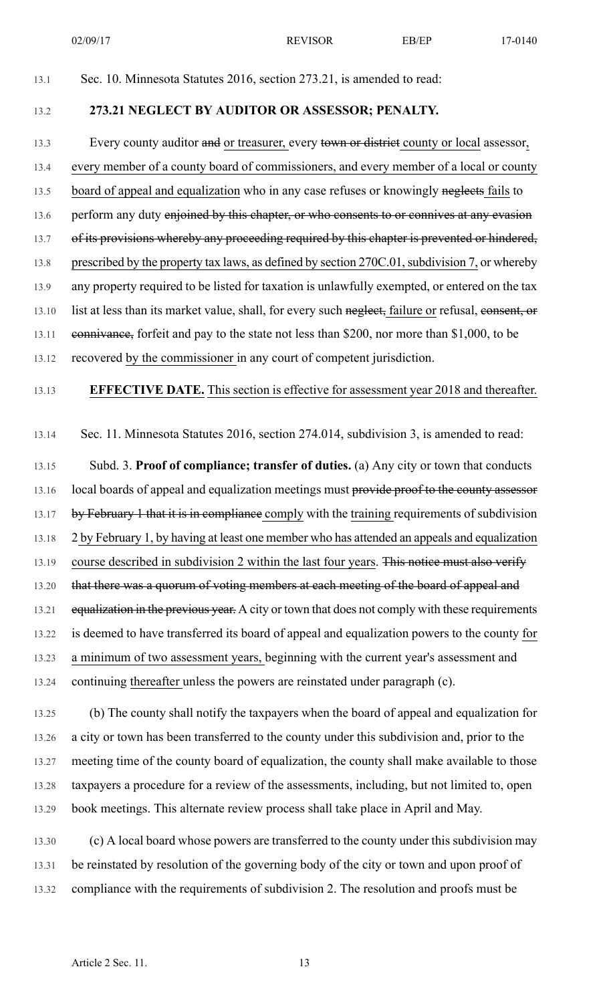#### 13.1 Sec. 10. Minnesota Statutes 2016, section 273.21, is amended to read:

#### 13.2 **273.21 NEGLECT BY AUDITOR OR ASSESSOR; PENALTY.**

13.3 Every county auditor and or treasurer, every town or district county or local assessor, 13.4 every member of a county board of commissioners, and every member of a local or county 13.5 board of appeal and equalization who in any case refuses or knowingly neglects fails to 13.6 perform any duty enjoined by this chapter, or who consents to or connives at any evasion 13.7 of its provisions whereby any proceeding required by this chapter is prevented or hindered, 13.8 prescribed by the property tax laws, as defined by section 270C.01, subdivision 7, or whereby 13.9 any property required to be listed for taxation is unlawfully exempted, or entered on the tax 13.10 list at less than its market value, shall, for every such neglect, failure or refusal, consent, or 13.11 connivance, forfeit and pay to the state not less than \$200, nor more than \$1,000, to be 13.12 recovered by the commissioner in any court of competent jurisdiction.

#### 13.13 **EFFECTIVE DATE.** This section is effective for assessment year 2018 and thereafter.

13.14 Sec. 11. Minnesota Statutes 2016, section 274.014, subdivision 3, is amended to read:

13.15 Subd. 3. **Proof of compliance; transfer of duties.** (a) Any city or town that conducts 13.16 local boards of appeal and equalization meetings must provide proof to the county assessor 13.17 by February 1 that it is in compliance comply with the training requirements of subdivision 13.18 2 by February 1, by having at least one member who has attended an appeals and equalization 13.19 course described in subdivision 2 within the last four years. This notice must also verify 13.20 that there was a quorum of voting members at each meeting of the board of appeal and 13.21 equalization in the previous year. A city or town that does not comply with these requirements 13.22 is deemed to have transferred its board of appeal and equalization powers to the county for 13.23 a minimum of two assessment years, beginning with the current year's assessment and 13.24 continuing thereafter unless the powers are reinstated under paragraph (c).

13.25 (b) The county shall notify the taxpayers when the board of appeal and equalization for 13.26 a city or town has been transferred to the county under this subdivision and, prior to the 13.27 meeting time of the county board of equalization, the county shall make available to those 13.28 taxpayers a procedure for a review of the assessments, including, but not limited to, open 13.29 book meetings. This alternate review process shall take place in April and May.

13.30 (c) A local board whose powers are transferred to the county under this subdivision may 13.31 be reinstated by resolution of the governing body of the city or town and upon proof of 13.32 compliance with the requirements of subdivision 2. The resolution and proofs must be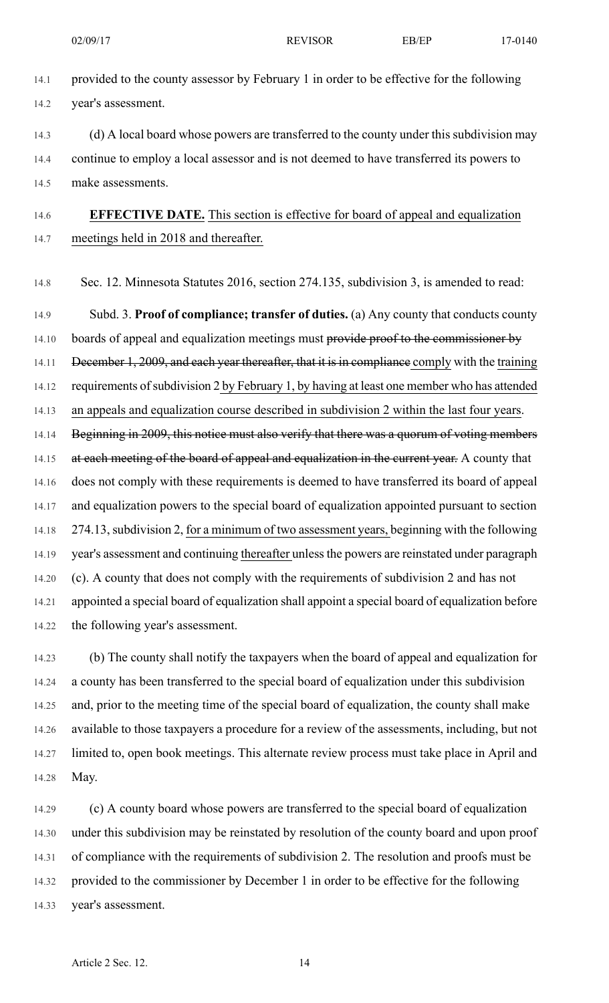14.1 provided to the county assessor by February 1 in order to be effective for the following 14.2 year's assessment.

14.3 (d) A local board whose powers are transferred to the county under this subdivision may 14.4 continue to employ a local assessor and is not deemed to have transferred its powers to 14.5 make assessments.

### 14.6 **EFFECTIVE DATE.** This section is effective for board of appeal and equalization 14.7 meetings held in 2018 and thereafter.

14.8 Sec. 12. Minnesota Statutes 2016, section 274.135, subdivision 3, is amended to read:

14.9 Subd. 3. **Proof of compliance; transfer of duties.** (a) Any county that conducts county 14.10 boards of appeal and equalization meetings must provide proof to the commissioner by 14.11 December 1, 2009, and each year thereafter, that it is in compliance comply with the training 14.12 requirements of subdivision 2 by February 1, by having at least one member who has attended 14.13 an appeals and equalization course described in subdivision 2 within the last four years. 14.14 Beginning in 2009, this notice must also verify that there was a quorum of voting members 14.15 at each meeting of the board of appeal and equalization in the current year. A county that 14.16 does not comply with these requirements is deemed to have transferred its board of appeal 14.17 and equalization powers to the special board of equalization appointed pursuant to section 14.18 274.13,subdivision 2, for a minimum of two assessment years, beginning with the following 14.19 year's assessment and continuing thereafter unless the powers are reinstated under paragraph 14.20 (c). A county that does not comply with the requirements of subdivision 2 and has not 14.21 appointed a special board of equalization shall appoint a special board of equalization before 14.22 the following year's assessment.

14.23 (b) The county shall notify the taxpayers when the board of appeal and equalization for 14.24 a county has been transferred to the special board of equalization under this subdivision 14.25 and, prior to the meeting time of the special board of equalization, the county shall make 14.26 available to those taxpayers a procedure for a review of the assessments, including, but not 14.27 limited to, open book meetings. This alternate review process must take place in April and 14.28 May.

14.29 (c) A county board whose powers are transferred to the special board of equalization 14.30 under this subdivision may be reinstated by resolution of the county board and upon proof 14.31 of compliance with the requirements of subdivision 2. The resolution and proofs must be 14.32 provided to the commissioner by December 1 in order to be effective for the following 14.33 year's assessment.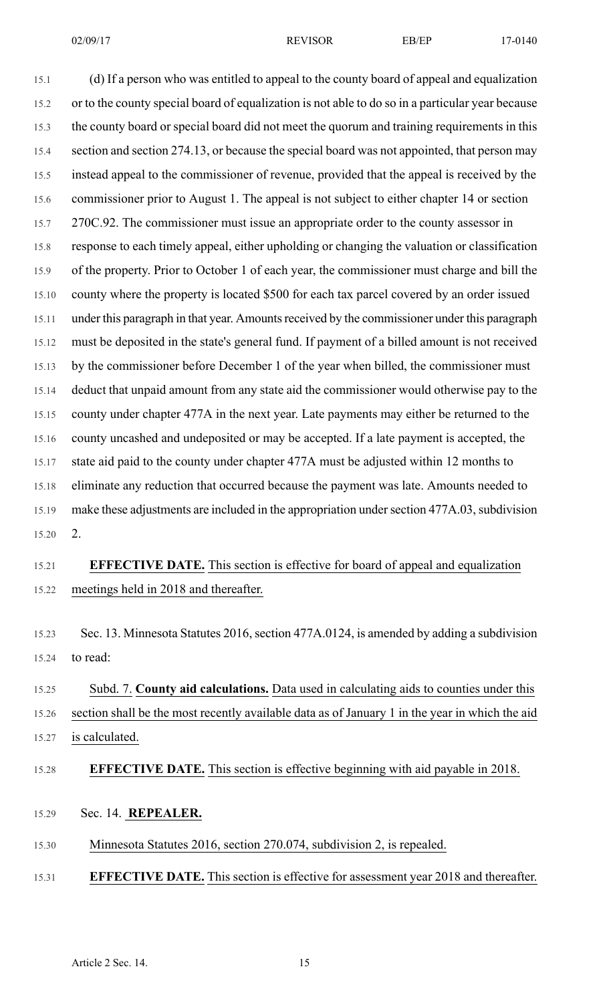15.1 (d) If a person who was entitled to appeal to the county board of appeal and equalization 15.2 or to the county special board of equalization is not able to do so in a particular year because 15.3 the county board or special board did not meet the quorum and training requirements in this 15.4 section and section 274.13, or because the special board was not appointed, that person may 15.5 instead appeal to the commissioner of revenue, provided that the appeal is received by the 15.6 commissioner prior to August 1. The appeal is not subject to either chapter 14 or section 15.7 270C.92. The commissioner must issue an appropriate order to the county assessor in 15.8 response to each timely appeal, either upholding or changing the valuation or classification 15.9 of the property. Prior to October 1 of each year, the commissioner must charge and bill the 15.10 county where the property is located \$500 for each tax parcel covered by an order issued 15.11 under this paragraph in that year. Amounts received by the commissioner under this paragraph 15.12 must be deposited in the state's general fund. If payment of a billed amount is not received 15.13 by the commissioner before December 1 of the year when billed, the commissioner must 15.14 deduct that unpaid amount from any state aid the commissioner would otherwise pay to the 15.15 county under chapter 477A in the next year. Late payments may either be returned to the 15.16 county uncashed and undeposited or may be accepted. If a late payment is accepted, the 15.17 state aid paid to the county under chapter 477A must be adjusted within 12 months to 15.18 eliminate any reduction that occurred because the payment was late. Amounts needed to 15.19 make these adjustments are included in the appropriation under section 477A.03, subdivision 15.20 2.

### 15.21 **EFFECTIVE DATE.** This section is effective for board of appeal and equalization 15.22 meetings held in 2018 and thereafter.

15.23 Sec. 13. Minnesota Statutes 2016, section 477A.0124, is amended by adding a subdivision 15.24 to read:

15.25 Subd. 7. **County aid calculations.** Data used in calculating aids to counties under this 15.26 section shall be the most recently available data as of January 1 in the year in which the aid 15.27 is calculated.

#### 15.28 **EFFECTIVE DATE.** This section is effective beginning with aid payable in 2018.

- 15.29 Sec. 14. **REPEALER.**
- 15.30 Minnesota Statutes 2016, section 270.074, subdivision 2, is repealed.

#### 15.31 **EFFECTIVE DATE.** This section is effective for assessment year 2018 and thereafter.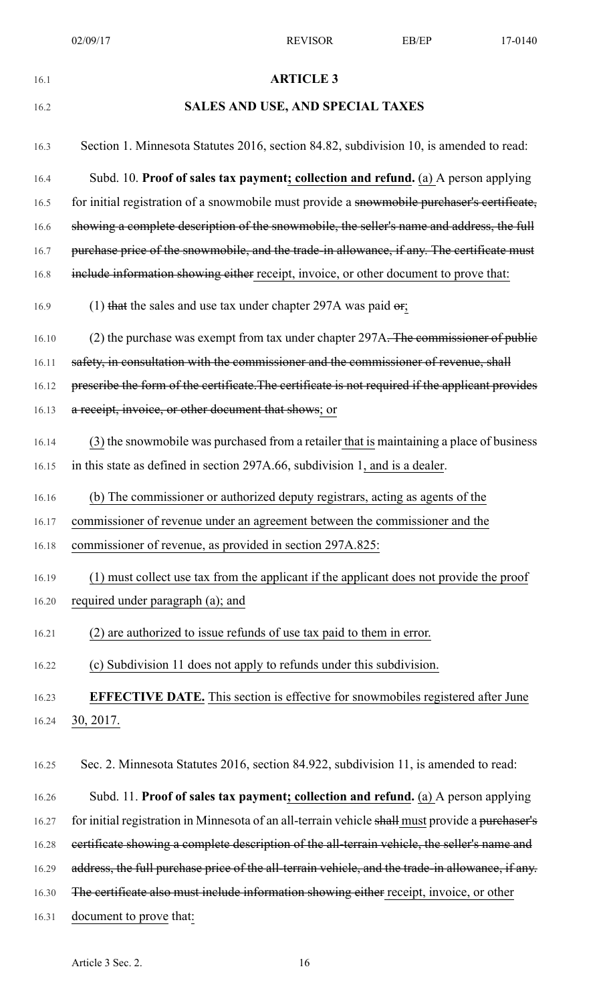| 16.1  | <b>ARTICLE 3</b>                                                                                 |
|-------|--------------------------------------------------------------------------------------------------|
| 16.2  | SALES AND USE, AND SPECIAL TAXES                                                                 |
| 16.3  | Section 1. Minnesota Statutes 2016, section 84.82, subdivision 10, is amended to read:           |
| 16.4  | Subd. 10. Proof of sales tax payment; collection and refund. (a) A person applying               |
| 16.5  | for initial registration of a snowmobile must provide a snowmobile purchaser's certificate,      |
| 16.6  | showing a complete description of the snowmobile, the seller's name and address, the full        |
| 16.7  | purchase price of the snowmobile, and the trade-in allowance, if any. The certificate must       |
| 16.8  | include information showing either receipt, invoice, or other document to prove that:            |
| 16.9  | (1) that the sales and use tax under chapter 297A was paid $\theta$ r;                           |
| 16.10 | (2) the purchase was exempt from tax under chapter 297A. The commissioner of public              |
| 16.11 | safety, in consultation with the commissioner and the commissioner of revenue, shall             |
| 16.12 | prescribe the form of the certificate. The certificate is not required if the applicant provides |
| 16.13 | a receipt, invoice, or other document that shows; or                                             |
| 16.14 | (3) the snowmobile was purchased from a retailer that is maintaining a place of business         |
| 16.15 | in this state as defined in section 297A.66, subdivision 1, and is a dealer.                     |
| 16.16 | (b) The commissioner or authorized deputy registrars, acting as agents of the                    |
| 16.17 | commissioner of revenue under an agreement between the commissioner and the                      |
| 16.18 | commissioner of revenue, as provided in section 297A.825:                                        |
| 16.19 | (1) must collect use tax from the applicant if the applicant does not provide the proof          |
| 16.20 | required under paragraph (a); and                                                                |
| 16.21 | (2) are authorized to issue refunds of use tax paid to them in error.                            |
| 16.22 | (c) Subdivision 11 does not apply to refunds under this subdivision.                             |
| 16.23 | <b>EFFECTIVE DATE.</b> This section is effective for snowmobiles registered after June           |
| 16.24 | 30, 2017.                                                                                        |
|       |                                                                                                  |
| 16.25 | Sec. 2. Minnesota Statutes 2016, section 84.922, subdivision 11, is amended to read:             |
| 16.26 | Subd. 11. Proof of sales tax payment; collection and refund. (a) A person applying               |
| 16.27 | for initial registration in Minnesota of an all-terrain vehicle shall must provide a purchaser's |
| 16.28 | eertificate showing a complete description of the all-terrain vehicle, the seller's name and     |
| 16.29 | address, the full purchase price of the all-terrain vehicle, and the trade-in allowance, if any. |

- 16.30 The certificate also must include information showing either receipt, invoice, or other
- 16.31 document to prove that: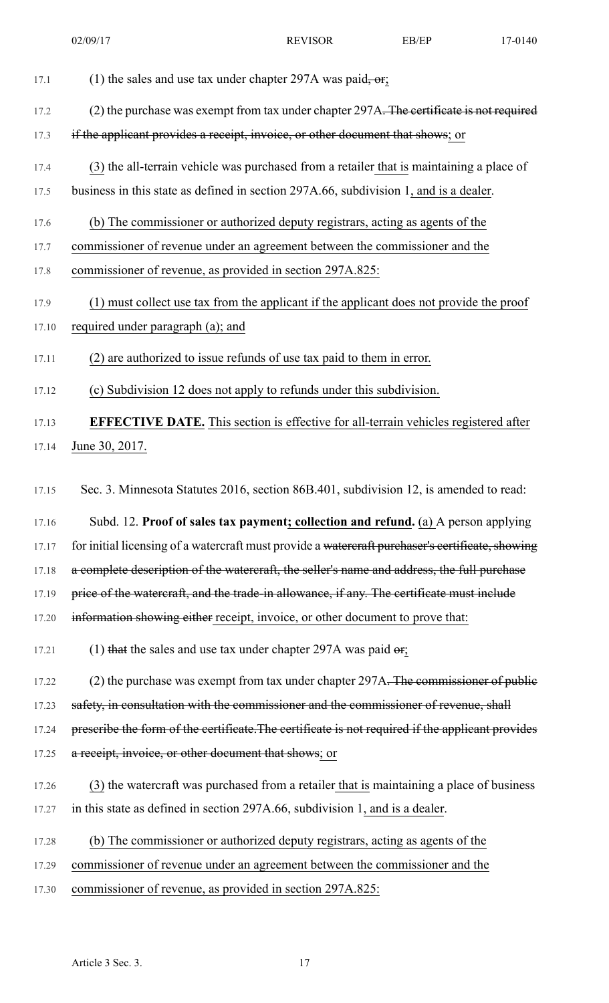17.1 (1) the sales and use tax under chapter 297A was paid, or; 17.2 (2) the purchase was exempt from tax under chapter 297A. The certificate is not required 17.3 if the applicant provides a receipt, invoice, or other document that shows; or 17.4 (3) the all-terrain vehicle was purchased from a retailer that is maintaining a place of 17.5 business in this state as defined in section 297A.66, subdivision 1, and is a dealer. 17.6 (b) The commissioner or authorized deputy registrars, acting as agents of the 17.7 commissioner of revenue under an agreement between the commissioner and the 17.8 commissioner of revenue, as provided in section 297A.825: 17.9 (1) must collect use tax from the applicant if the applicant does not provide the proof 17.10 required under paragraph (a); and 17.11 (2) are authorized to issue refunds of use tax paid to them in error. 17.12 (c) Subdivision 12 does not apply to refunds under this subdivision. 17.13 **EFFECTIVE DATE.** This section is effective for all-terrain vehicles registered after 17.14 June 30, 2017. 17.15 Sec. 3. Minnesota Statutes 2016, section 86B.401, subdivision 12, is amended to read: 17.16 Subd. 12. **Proof of sales tax payment; collection and refund.** (a) A person applying 17.17 for initial licensing of a watercraft must provide a watercraft purchaser's certificate, showing 17.18 a complete description of the watercraft, the seller's name and address, the full purchase 17.19 price of the watercraft, and the trade-in allowance, if any. The certificate must include 17.20 information showing either receipt, invoice, or other document to prove that: 17.21 (1) that the sales and use tax under chapter 297A was paid  $\sigma$ ; 17.22 (2) the purchase was exempt from tax under chapter 297A. The commissioner of public 17.23 safety, in consultation with the commissioner and the commissioner of revenue, shall 17.24 prescribe the form of the certificate. The certificate is not required if the applicant provides 17.25 a receipt, invoice, or other document that shows; or 17.26 (3) the watercraft was purchased from a retailer that is maintaining a place of business 17.27 in this state as defined in section 297A.66, subdivision 1, and is a dealer. 17.28 (b) The commissioner or authorized deputy registrars, acting as agents of the 17.29 commissioner of revenue under an agreement between the commissioner and the 17.30 commissioner of revenue, as provided in section 297A.825: 02/09/17 REVISOR EB/EP 17-0140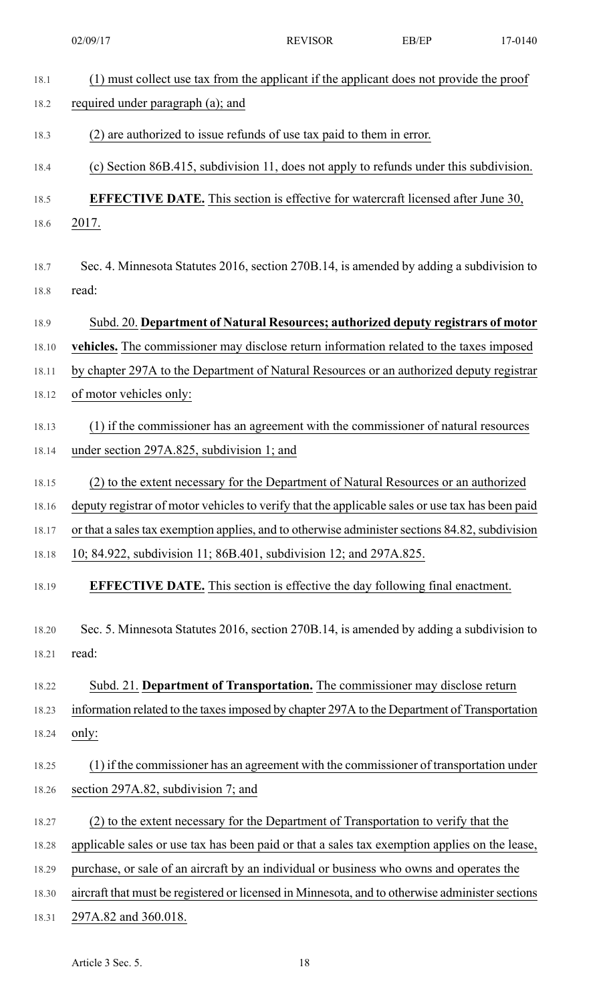|       | 02/09/17                                                                                        | <b>REVISOR</b> | EB/EP | 17-0140 |
|-------|-------------------------------------------------------------------------------------------------|----------------|-------|---------|
| 18.1  | (1) must collect use tax from the applicant if the applicant does not provide the proof         |                |       |         |
| 18.2  | required under paragraph (a); and                                                               |                |       |         |
| 18.3  | (2) are authorized to issue refunds of use tax paid to them in error.                           |                |       |         |
| 18.4  | (c) Section 86B.415, subdivision 11, does not apply to refunds under this subdivision.          |                |       |         |
| 18.5  | <b>EFFECTIVE DATE.</b> This section is effective for watercraft licensed after June 30,         |                |       |         |
| 18.6  | 2017.                                                                                           |                |       |         |
|       |                                                                                                 |                |       |         |
| 18.7  | Sec. 4. Minnesota Statutes 2016, section 270B.14, is amended by adding a subdivision to         |                |       |         |
| 18.8  | read:                                                                                           |                |       |         |
| 18.9  | Subd. 20. Department of Natural Resources; authorized deputy registrars of motor                |                |       |         |
| 18.10 | vehicles. The commissioner may disclose return information related to the taxes imposed         |                |       |         |
| 18.11 | by chapter 297A to the Department of Natural Resources or an authorized deputy registrar        |                |       |         |
| 18.12 | of motor vehicles only:                                                                         |                |       |         |
| 18.13 | (1) if the commissioner has an agreement with the commissioner of natural resources             |                |       |         |
| 18.14 | under section 297A.825, subdivision 1; and                                                      |                |       |         |
| 18.15 | (2) to the extent necessary for the Department of Natural Resources or an authorized            |                |       |         |
| 18.16 | deputy registrar of motor vehicles to verify that the applicable sales or use tax has been paid |                |       |         |
| 18.17 | or that a sales tax exemption applies, and to otherwise administer sections 84.82, subdivision  |                |       |         |
| 18.18 | 10; 84.922, subdivision 11; 86B.401, subdivision 12; and 297A.825.                              |                |       |         |
| 18.19 | <b>EFFECTIVE DATE.</b> This section is effective the day following final enactment.             |                |       |         |
| 18.20 | Sec. 5. Minnesota Statutes 2016, section 270B.14, is amended by adding a subdivision to         |                |       |         |
| 18.21 | read:                                                                                           |                |       |         |
| 18.22 | Subd. 21. Department of Transportation. The commissioner may disclose return                    |                |       |         |
| 18.23 | information related to the taxes imposed by chapter 297A to the Department of Transportation    |                |       |         |
| 18.24 | <u>only:</u>                                                                                    |                |       |         |
| 18.25 | (1) if the commissioner has an agreement with the commissioner of transportation under          |                |       |         |
| 18.26 | section 297A.82, subdivision 7; and                                                             |                |       |         |
| 18.27 | (2) to the extent necessary for the Department of Transportation to verify that the             |                |       |         |
| 18.28 | applicable sales or use tax has been paid or that a sales tax exemption applies on the lease,   |                |       |         |
| 18.29 | purchase, or sale of an aircraft by an individual or business who owns and operates the         |                |       |         |
| 18.30 | aircraft that must be registered or licensed in Minnesota, and to otherwise administer sections |                |       |         |
| 18.31 | 297A.82 and 360.018.                                                                            |                |       |         |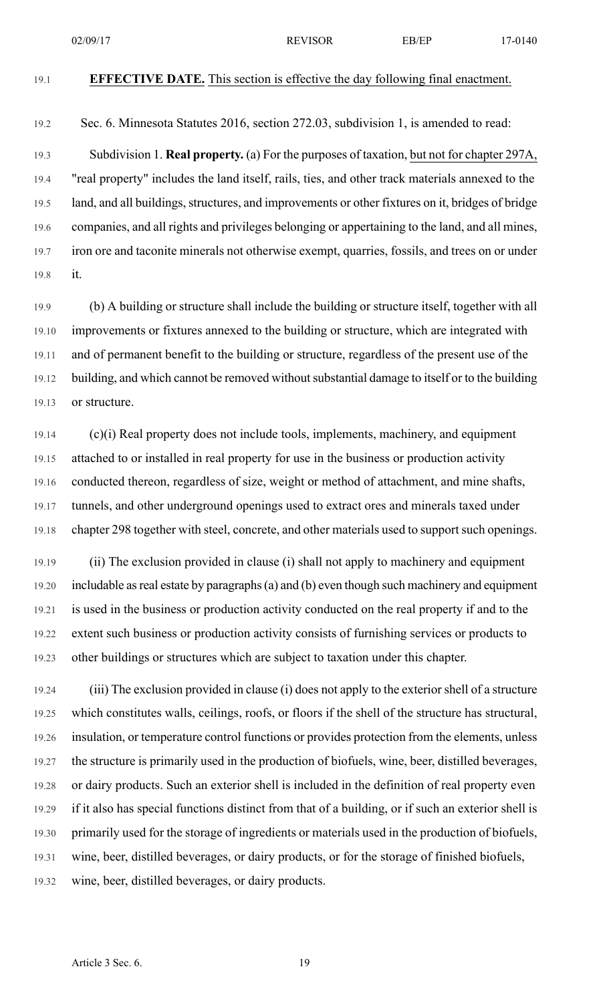19.2 Sec. 6. Minnesota Statutes 2016, section 272.03, subdivision 1, is amended to read:

19.3 Subdivision 1. **Real property.** (a) For the purposes of taxation, but not for chapter 297A, 19.4 "real property" includes the land itself, rails, ties, and other track materials annexed to the 19.5 land, and all buildings, structures, and improvements or other fixtures on it, bridges of bridge 19.6 companies, and all rights and privileges belonging or appertaining to the land, and all mines, 19.7 iron ore and taconite minerals not otherwise exempt, quarries, fossils, and trees on or under 19.8 it.

19.9 (b) A building or structure shall include the building or structure itself, together with all 19.10 improvements or fixtures annexed to the building or structure, which are integrated with 19.11 and of permanent benefit to the building or structure, regardless of the present use of the 19.12 building, and which cannot be removed without substantial damage to itself or to the building 19.13 or structure.

19.14 (c)(i) Real property does not include tools, implements, machinery, and equipment 19.15 attached to or installed in real property for use in the business or production activity 19.16 conducted thereon, regardless of size, weight or method of attachment, and mine shafts, 19.17 tunnels, and other underground openings used to extract ores and minerals taxed under 19.18 chapter 298 together with steel, concrete, and other materials used to support such openings.

19.19 (ii) The exclusion provided in clause (i) shall not apply to machinery and equipment 19.20 includable asreal estate by paragraphs(a) and (b) even though such machinery and equipment 19.21 is used in the business or production activity conducted on the real property if and to the 19.22 extent such business or production activity consists of furnishing services or products to 19.23 other buildings or structures which are subject to taxation under this chapter.

19.24 (iii) The exclusion provided in clause (i) does not apply to the exterior shell of a structure 19.25 which constitutes walls, ceilings, roofs, or floors if the shell of the structure has structural, 19.26 insulation, or temperature control functions or provides protection from the elements, unless 19.27 the structure is primarily used in the production of biofuels, wine, beer, distilled beverages, 19.28 or dairy products. Such an exterior shell is included in the definition of real property even 19.29 if it also has special functions distinct from that of a building, or if such an exterior shell is 19.30 primarily used for the storage of ingredients or materials used in the production of biofuels, 19.31 wine, beer, distilled beverages, or dairy products, or for the storage of finished biofuels, 19.32 wine, beer, distilled beverages, or dairy products.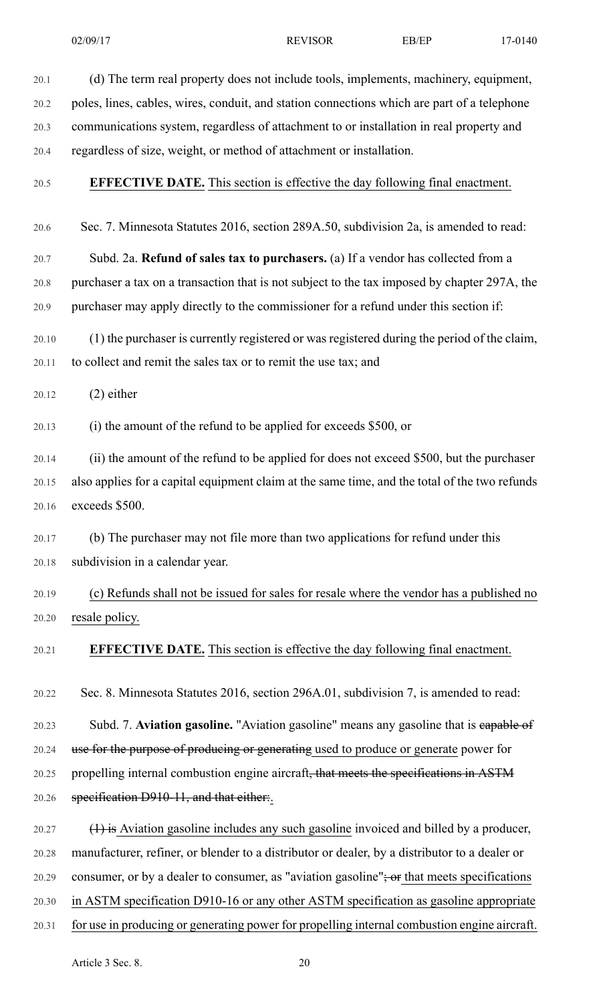20.1 (d) The term real property does not include tools, implements, machinery, equipment, 20.2 poles, lines, cables, wires, conduit, and station connections which are part of a telephone 20.3 communications system, regardless of attachment to or installation in real property and 20.4 regardless of size, weight, or method of attachment or installation. 20.5 **EFFECTIVE DATE.** This section is effective the day following final enactment. 20.6 Sec. 7. Minnesota Statutes 2016, section 289A.50, subdivision 2a, is amended to read: 20.7 Subd. 2a. **Refund of sales tax to purchasers.** (a) If a vendor has collected from a 20.8 purchaser a tax on a transaction that is not subject to the tax imposed by chapter 297A, the 20.9 purchaser may apply directly to the commissioner for a refund under this section if: 20.10 (1) the purchaser is currently registered or was registered during the period of the claim, 20.11 to collect and remit the sales tax or to remit the use tax; and 20.12 (2) either 20.13 (i) the amount of the refund to be applied for exceeds \$500, or 20.14 (ii) the amount of the refund to be applied for does not exceed \$500, but the purchaser 20.15 also applies for a capital equipment claim at the same time, and the total of the two refunds 20.16 exceeds \$500. 20.17 (b) The purchaser may not file more than two applications for refund under this 20.18 subdivision in a calendar year. 20.19 (c) Refunds shall not be issued for sales for resale where the vendor has a published no 20.20 resale policy. 20.21 **EFFECTIVE DATE.** This section is effective the day following final enactment. 20.22 Sec. 8. Minnesota Statutes 2016, section 296A.01, subdivision 7, is amended to read: 20.23 Subd. 7. **Aviation gasoline.** "Aviation gasoline" means any gasoline that is capable of 20.24 use for the purpose of producing or generating used to produce or generate power for 20.25 propelling internal combustion engine aircraft, that meets the specifications in ASTM 20.26 specification D910-11, and that either:  $20.27$  (1) is Aviation gasoline includes any such gasoline invoiced and billed by a producer, 20.28 manufacturer, refiner, or blender to a distributor or dealer, by a distributor to a dealer or

20.29 consumer, or by a dealer to consumer, as "aviation gasoline";  $\overrightarrow{or}$  that meets specifications

20.30 in ASTM specification D910-16 or any other ASTM specification as gasoline appropriate

20.31 for use in producing or generating power for propelling internal combustion engine aircraft.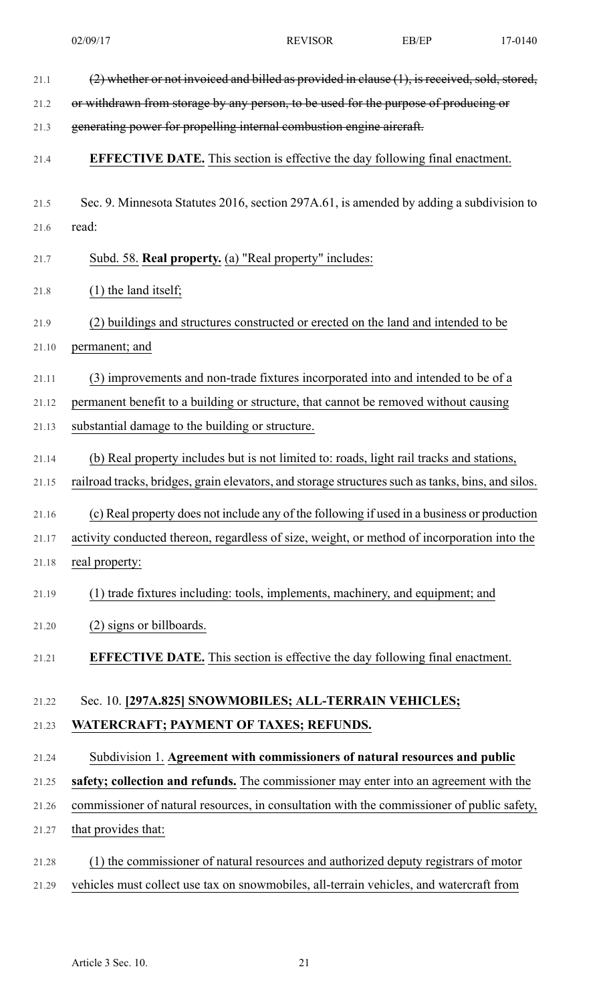| 21.1  | (2) whether or not invoiced and billed as provided in clause (1), is received, sold, stored,      |
|-------|---------------------------------------------------------------------------------------------------|
| 21.2  | or withdrawn from storage by any person, to be used for the purpose of producing or               |
| 21.3  | generating power for propelling internal combustion engine aircraft.                              |
| 21.4  | <b>EFFECTIVE DATE.</b> This section is effective the day following final enactment.               |
| 21.5  | Sec. 9. Minnesota Statutes 2016, section 297A.61, is amended by adding a subdivision to           |
| 21.6  | read:                                                                                             |
| 21.7  | Subd. 58. Real property. (a) "Real property" includes:                                            |
| 21.8  | $(1)$ the land itself;                                                                            |
| 21.9  | (2) buildings and structures constructed or erected on the land and intended to be                |
| 21.10 | permanent; and                                                                                    |
| 21.11 | (3) improvements and non-trade fixtures incorporated into and intended to be of a                 |
| 21.12 | permanent benefit to a building or structure, that cannot be removed without causing              |
| 21.13 | substantial damage to the building or structure.                                                  |
| 21.14 | (b) Real property includes but is not limited to: roads, light rail tracks and stations,          |
| 21.15 | railroad tracks, bridges, grain elevators, and storage structures such as tanks, bins, and silos. |
| 21.16 | (c) Real property does not include any of the following if used in a business or production       |
| 21.17 | activity conducted thereon, regardless of size, weight, or method of incorporation into the       |
| 21.18 | real property:                                                                                    |
| 21.19 | (1) trade fixtures including: tools, implements, machinery, and equipment; and                    |
| 21.20 | (2) signs or billboards.                                                                          |
| 21.21 | <b>EFFECTIVE DATE.</b> This section is effective the day following final enactment.               |
| 21.22 | Sec. 10. [297A.825] SNOWMOBILES; ALL-TERRAIN VEHICLES;                                            |
| 21.23 | WATERCRAFT; PAYMENT OF TAXES; REFUNDS.                                                            |
| 21.24 | Subdivision 1. Agreement with commissioners of natural resources and public                       |
| 21.25 | safety; collection and refunds. The commissioner may enter into an agreement with the             |
| 21.26 | commissioner of natural resources, in consultation with the commissioner of public safety,        |
| 21.27 | that provides that:                                                                               |
| 21.28 | (1) the commissioner of natural resources and authorized deputy registrars of motor               |
| 21.29 | vehicles must collect use tax on snowmobiles, all-terrain vehicles, and watercraft from           |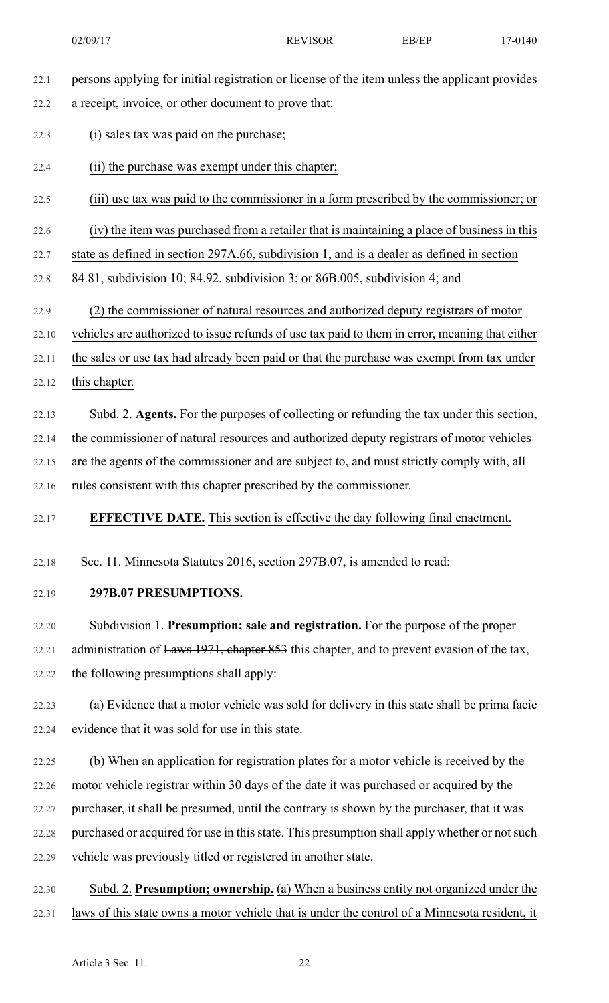| 22.1  | persons applying for initial registration or license of the item unless the applicant provides |
|-------|------------------------------------------------------------------------------------------------|
| 22.2  | a receipt, invoice, or other document to prove that:                                           |
| 22.3  | (i) sales tax was paid on the purchase;                                                        |
| 22.4  | (ii) the purchase was exempt under this chapter;                                               |
| 22.5  | (iii) use tax was paid to the commissioner in a form prescribed by the commissioner; or        |
| 22.6  | (iv) the item was purchased from a retailer that is maintaining a place of business in this    |
| 22.7  | state as defined in section 297A.66, subdivision 1, and is a dealer as defined in section      |
| 22.8  | 84.81, subdivision 10; 84.92, subdivision 3; or 86B.005, subdivision 4; and                    |
| 22.9  | (2) the commissioner of natural resources and authorized deputy registrars of motor            |
| 22.10 | vehicles are authorized to issue refunds of use tax paid to them in error, meaning that either |
| 22.11 | the sales or use tax had already been paid or that the purchase was exempt from tax under      |
| 22.12 | this chapter.                                                                                  |
| 22.13 | Subd. 2. Agents. For the purposes of collecting or refunding the tax under this section,       |
| 22.14 | the commissioner of natural resources and authorized deputy registrars of motor vehicles       |
| 22.15 | are the agents of the commissioner and are subject to, and must strictly comply with, all      |
| 22.16 | rules consistent with this chapter prescribed by the commissioner.                             |
| 22.17 | <b>EFFECTIVE DATE.</b> This section is effective the day following final enactment.            |
| 22.18 | Sec. 11. Minnesota Statutes 2016, section 297B.07, is amended to read:                         |
| 22.19 | 297B.07 PRESUMPTIONS.                                                                          |
| 22.20 | Subdivision 1. Presumption; sale and registration. For the purpose of the proper               |
| 22.21 | administration of Laws 1971, chapter 853 this chapter, and to prevent evasion of the tax,      |
| 22.22 | the following presumptions shall apply:                                                        |
| 22.23 | (a) Evidence that a motor vehicle was sold for delivery in this state shall be prima facie     |
| 22.24 | evidence that it was sold for use in this state.                                               |
| 22.25 | (b) When an application for registration plates for a motor vehicle is received by the         |
| 22.26 | motor vehicle registrar within 30 days of the date it was purchased or acquired by the         |
| 22.27 | purchaser, it shall be presumed, until the contrary is shown by the purchaser, that it was     |
| 22.28 | purchased or acquired for use in this state. This presumption shall apply whether or not such  |
| 22.29 | vehicle was previously titled or registered in another state.                                  |
| 22.30 | Subd. 2. Presumption; ownership. (a) When a business entity not organized under the            |
| 22.31 | laws of this state owns a motor vehicle that is under the control of a Minnesota resident, it  |
|       |                                                                                                |
|       | Article 3 Sec. 11.<br>22                                                                       |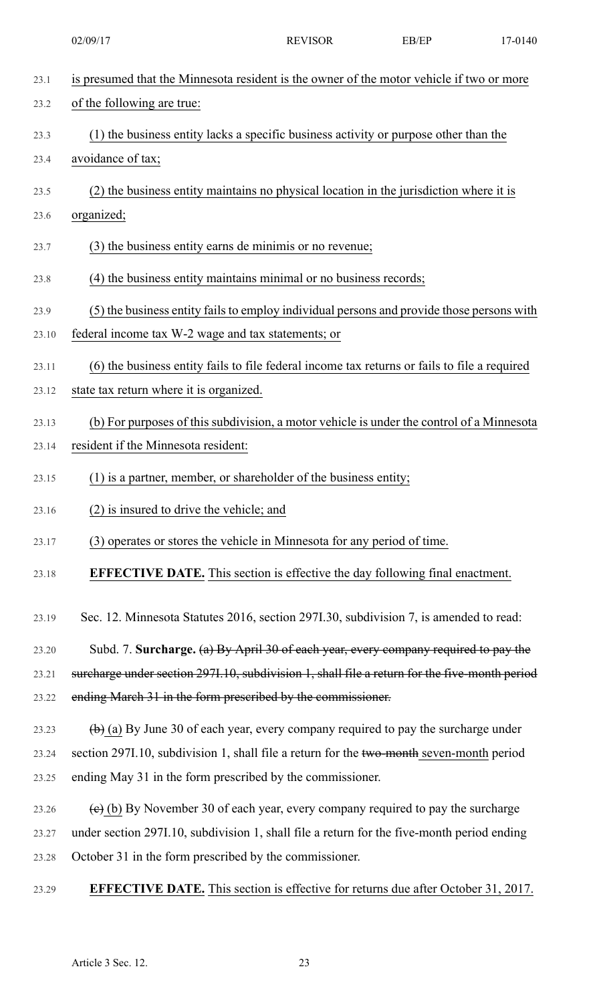|       | 02/09/17                                                                                                  | <b>REVISOR</b> | EB/EP<br>17-0140 |
|-------|-----------------------------------------------------------------------------------------------------------|----------------|------------------|
| 23.1  | is presumed that the Minnesota resident is the owner of the motor vehicle if two or more                  |                |                  |
| 23.2  | of the following are true:                                                                                |                |                  |
| 23.3  | (1) the business entity lacks a specific business activity or purpose other than the                      |                |                  |
| 23.4  | avoidance of tax;                                                                                         |                |                  |
| 23.5  | (2) the business entity maintains no physical location in the jurisdiction where it is                    |                |                  |
| 23.6  | organized;                                                                                                |                |                  |
| 23.7  | (3) the business entity earns de minimis or no revenue;                                                   |                |                  |
| 23.8  | (4) the business entity maintains minimal or no business records;                                         |                |                  |
| 23.9  | (5) the business entity fails to employ individual persons and provide those persons with                 |                |                  |
| 23.10 | federal income tax W-2 wage and tax statements; or                                                        |                |                  |
| 23.11 | (6) the business entity fails to file federal income tax returns or fails to file a required              |                |                  |
| 23.12 | state tax return where it is organized.                                                                   |                |                  |
| 23.13 | (b) For purposes of this subdivision, a motor vehicle is under the control of a Minnesota                 |                |                  |
| 23.14 | resident if the Minnesota resident:                                                                       |                |                  |
| 23.15 | (1) is a partner, member, or shareholder of the business entity;                                          |                |                  |
| 23.16 | (2) is insured to drive the vehicle; and                                                                  |                |                  |
| 23.17 | (3) operates or stores the vehicle in Minnesota for any period of time.                                   |                |                  |
| 23.18 | <b>EFFECTIVE DATE.</b> This section is effective the day following final enactment.                       |                |                  |
| 23.19 | Sec. 12. Minnesota Statutes 2016, section 297I.30, subdivision 7, is amended to read:                     |                |                  |
| 23.20 | Subd. 7. Surcharge. (a) By April 30 of each year, every company required to pay the                       |                |                  |
| 23.21 | surcharge under section 297I.10, subdivision 1, shall file a return for the five-month period             |                |                  |
| 23.22 | ending March 31 in the form prescribed by the commissioner.                                               |                |                  |
| 23.23 | $\left(\frac{b}{c}\right)$ (a) By June 30 of each year, every company required to pay the surcharge under |                |                  |
| 23.24 | section 297I.10, subdivision 1, shall file a return for the two-month seven-month period                  |                |                  |
| 23.25 | ending May 31 in the form prescribed by the commissioner.                                                 |                |                  |
| 23.26 | $\left(\frac{e}{e}\right)$ (b) By November 30 of each year, every company required to pay the surcharge   |                |                  |
| 23.27 | under section 297I.10, subdivision 1, shall file a return for the five-month period ending                |                |                  |
| 23.28 | October 31 in the form prescribed by the commissioner.                                                    |                |                  |
| 23.29 | <b>EFFECTIVE DATE.</b> This section is effective for returns due after October 31, 2017.                  |                |                  |
|       |                                                                                                           |                |                  |
|       |                                                                                                           |                |                  |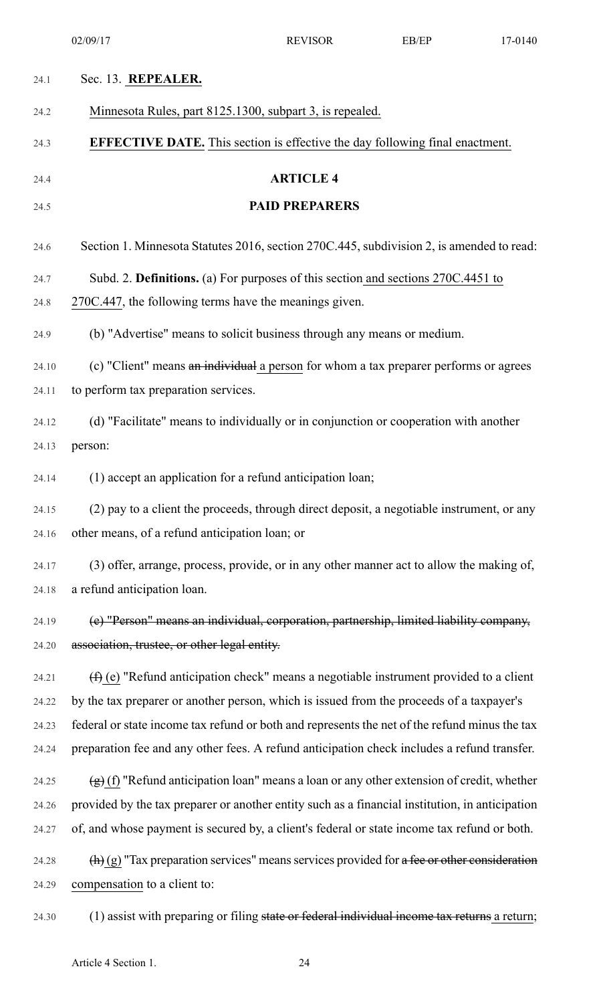| 24.1  | Sec. 13. REPEALER.                                                                              |
|-------|-------------------------------------------------------------------------------------------------|
| 24.2  | Minnesota Rules, part 8125.1300, subpart 3, is repealed.                                        |
| 24.3  | <b>EFFECTIVE DATE.</b> This section is effective the day following final enactment.             |
| 24.4  | <b>ARTICLE 4</b>                                                                                |
| 24.5  | <b>PAID PREPARERS</b>                                                                           |
| 24.6  | Section 1. Minnesota Statutes 2016, section 270C.445, subdivision 2, is amended to read:        |
| 24.7  | Subd. 2. Definitions. (a) For purposes of this section and sections 270C.4451 to                |
| 24.8  | 270C.447, the following terms have the meanings given.                                          |
| 24.9  | (b) "Advertise" means to solicit business through any means or medium.                          |
| 24.10 | (c) "Client" means an individual a person for whom a tax preparer performs or agrees            |
| 24.11 | to perform tax preparation services.                                                            |
| 24.12 | (d) "Facilitate" means to individually or in conjunction or cooperation with another            |
| 24.13 | person:                                                                                         |
| 24.14 | (1) accept an application for a refund anticipation loan;                                       |
| 24.15 | (2) pay to a client the proceeds, through direct deposit, a negotiable instrument, or any       |
| 24.16 | other means, of a refund anticipation loan; or                                                  |
| 24.17 | (3) offer, arrange, process, provide, or in any other manner act to allow the making of,        |
| 24.18 | a refund anticipation loan.                                                                     |
| 24.19 | (e) "Person" means an individual, corporation, partnership, limited liability company,          |
| 24.20 | association, trustee, or other legal entity.                                                    |
| 24.21 | $(\text{f})$ (e) "Refund anticipation check" means a negotiable instrument provided to a client |
| 24.22 | by the tax preparer or another person, which is issued from the proceeds of a taxpayer's        |
| 24.23 | federal or state income tax refund or both and represents the net of the refund minus the tax   |
| 24.24 | preparation fee and any other fees. A refund anticipation check includes a refund transfer.     |
| 24.25 | $(g)$ (f) "Refund anticipation loan" means a loan or any other extension of credit, whether     |
| 24.26 | provided by the tax preparer or another entity such as a financial institution, in anticipation |
| 24.27 | of, and whose payment is secured by, a client's federal or state income tax refund or both.     |
| 24.28 | $(h)(g)$ "Tax preparation services" means services provided for a fee or other consideration    |
| 24.29 | compensation to a client to:                                                                    |
| 24.30 | (1) assist with preparing or filing state or federal individual income tax returns a return;    |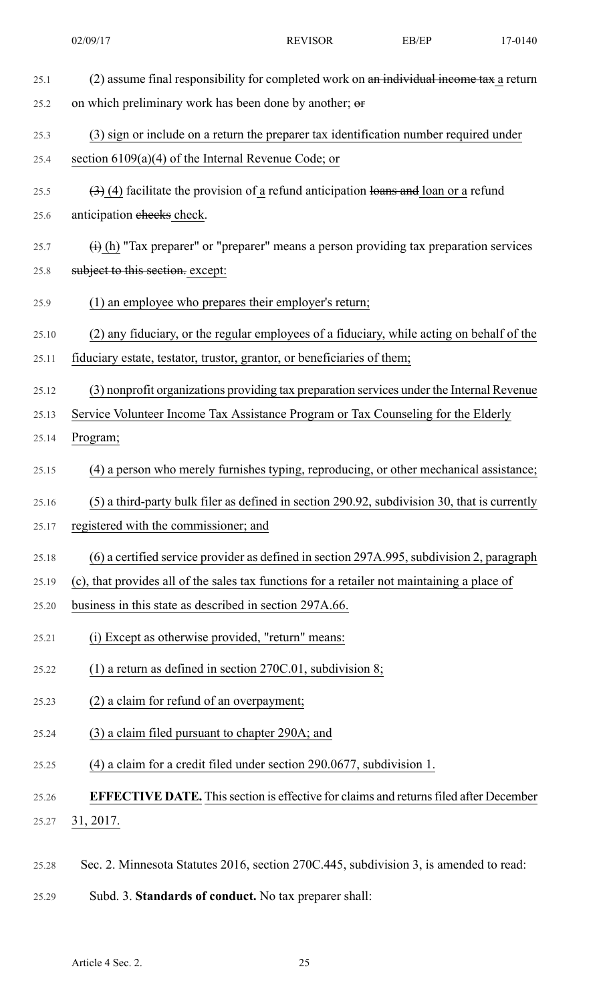| 25.1  | (2) assume final responsibility for completed work on an individual income tax a return                   |
|-------|-----------------------------------------------------------------------------------------------------------|
| 25.2  | on which preliminary work has been done by another; or                                                    |
| 25.3  | (3) sign or include on a return the preparer tax identification number required under                     |
| 25.4  | section $6109(a)(4)$ of the Internal Revenue Code; or                                                     |
| 25.5  | $(3)$ (4) facilitate the provision of a refund anticipation loans and loan or a refund                    |
| 25.6  | anticipation eheeks check.                                                                                |
| 25.7  | $\overrightarrow{(i)}$ (h) "Tax preparer" or "preparer" means a person providing tax preparation services |
| 25.8  | subject to this section. except:                                                                          |
| 25.9  | (1) an employee who prepares their employer's return;                                                     |
| 25.10 | (2) any fiduciary, or the regular employees of a fiduciary, while acting on behalf of the                 |
| 25.11 | fiduciary estate, testator, trustor, grantor, or beneficiaries of them;                                   |
| 25.12 | (3) nonprofit organizations providing tax preparation services under the Internal Revenue                 |
| 25.13 | Service Volunteer Income Tax Assistance Program or Tax Counseling for the Elderly                         |
| 25.14 | Program;                                                                                                  |
| 25.15 | (4) a person who merely furnishes typing, reproducing, or other mechanical assistance;                    |
| 25.16 | (5) a third-party bulk filer as defined in section 290.92, subdivision 30, that is currently              |
| 25.17 | registered with the commissioner; and                                                                     |
| 25.18 | (6) a certified service provider as defined in section 297A.995, subdivision 2, paragraph                 |
| 25.19 | (c), that provides all of the sales tax functions for a retailer not maintaining a place of               |
| 25.20 | business in this state as described in section 297A.66.                                                   |
| 25.21 | (i) Except as otherwise provided, "return" means:                                                         |
| 25.22 | (1) a return as defined in section $270C.01$ , subdivision 8;                                             |
| 25.23 | (2) a claim for refund of an overpayment;                                                                 |
| 25.24 | (3) a claim filed pursuant to chapter 290A; and                                                           |
| 25.25 | $(4)$ a claim for a credit filed under section 290.0677, subdivision 1.                                   |
| 25.26 | <b>EFFECTIVE DATE.</b> This section is effective for claims and returns filed after December              |
| 25.27 | 31, 2017.                                                                                                 |
| 25.28 | Sec. 2. Minnesota Statutes 2016, section 270C.445, subdivision 3, is amended to read:                     |

25.29 Subd. 3. **Standards of conduct.** No tax preparer shall: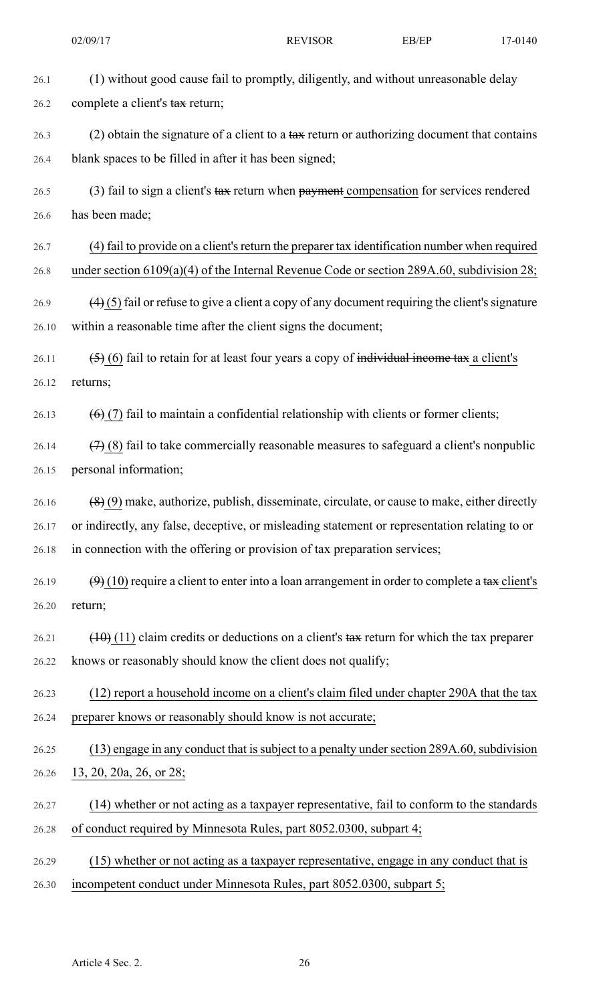| 26.1  | (1) without good cause fail to promptly, diligently, and without unreasonable delay                  |
|-------|------------------------------------------------------------------------------------------------------|
| 26.2  | complete a client's tax return;                                                                      |
| 26.3  | (2) obtain the signature of a client to a $\frac{1}{4}$ return or authorizing document that contains |
| 26.4  | blank spaces to be filled in after it has been signed;                                               |
| 26.5  | (3) fail to sign a client's tax return when payment compensation for services rendered               |
| 26.6  | has been made;                                                                                       |
| 26.7  | (4) fail to provide on a client's return the preparer tax identification number when required        |
| 26.8  | under section $6109(a)(4)$ of the Internal Revenue Code or section 289A.60, subdivision 28;          |
| 26.9  | $(4)$ (5) fail or refuse to give a client a copy of any document requiring the client's signature    |
| 26.10 | within a reasonable time after the client signs the document;                                        |
| 26.11 | $(5)$ (6) fail to retain for at least four years a copy of individual income tax a client's          |
| 26.12 | returns;                                                                                             |
| 26.13 | $(6)$ (7) fail to maintain a confidential relationship with clients or former clients;               |
|       |                                                                                                      |
| 26.14 | $(7)$ (8) fail to take commercially reasonable measures to safeguard a client's nonpublic            |
| 26.15 | personal information;                                                                                |
| 26.16 | $(8)$ (9) make, authorize, publish, disseminate, circulate, or cause to make, either directly        |
| 26.17 | or indirectly, any false, deceptive, or misleading statement or representation relating to or        |
| 26.18 | in connection with the offering or provision of tax preparation services;                            |
| 26.19 | $(9)$ (10) require a client to enter into a loan arrangement in order to complete a tax client's     |
| 26.20 | return;                                                                                              |
| 26.21 | $(10)$ (11) claim credits or deductions on a client's tax return for which the tax preparer          |
| 26.22 | knows or reasonably should know the client does not qualify;                                         |
| 26.23 | (12) report a household income on a client's claim filed under chapter 290A that the tax             |
| 26.24 | preparer knows or reasonably should know is not accurate;                                            |
| 26.25 | (13) engage in any conduct that is subject to a penalty under section 289A.60, subdivision           |
| 26.26 | 13, 20, 20a, 26, or 28;                                                                              |
| 26.27 | (14) whether or not acting as a taxpayer representative, fail to conform to the standards            |
| 26.28 | of conduct required by Minnesota Rules, part 8052.0300, subpart 4;                                   |
| 26.29 | (15) whether or not acting as a taxpayer representative, engage in any conduct that is               |
| 26.30 | incompetent conduct under Minnesota Rules, part 8052.0300, subpart 5;                                |
|       |                                                                                                      |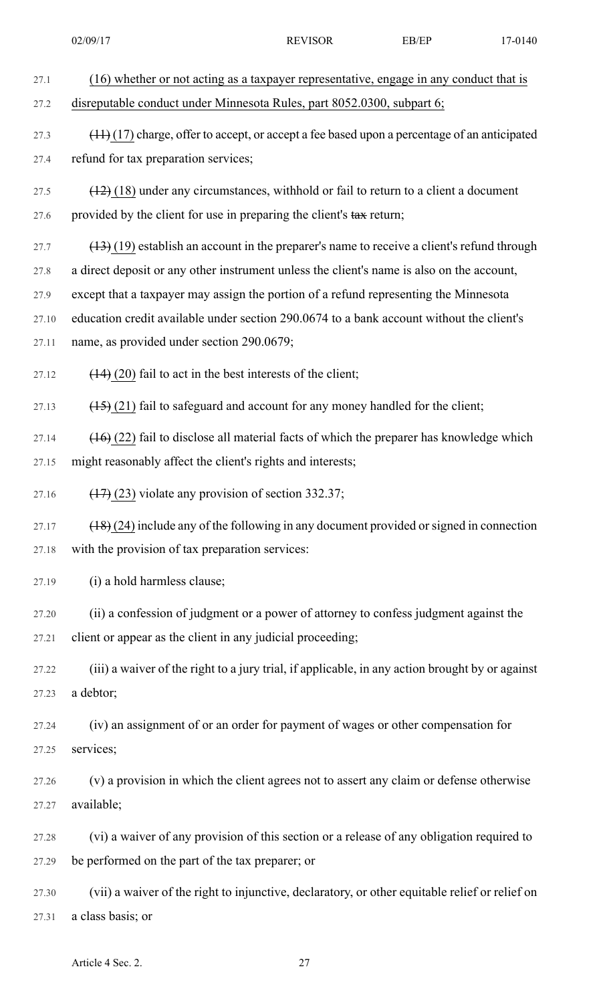|       | 02/09/17                                                                                        | <b>REVISOR</b> | EB/EP | 17-0140 |
|-------|-------------------------------------------------------------------------------------------------|----------------|-------|---------|
| 27.1  | (16) whether or not acting as a taxpayer representative, engage in any conduct that is          |                |       |         |
| 27.2  | disreputable conduct under Minnesota Rules, part 8052.0300, subpart 6;                          |                |       |         |
| 27.3  | $(11)(17)$ charge, offer to accept, or accept a fee based upon a percentage of an anticipated   |                |       |         |
| 27.4  | refund for tax preparation services;                                                            |                |       |         |
| 27.5  | $(12)$ (18) under any circumstances, withhold or fail to return to a client a document          |                |       |         |
| 27.6  | provided by the client for use in preparing the client's tax return;                            |                |       |         |
| 27.7  | $(13)(19)$ establish an account in the preparer's name to receive a client's refund through     |                |       |         |
| 27.8  | a direct deposit or any other instrument unless the client's name is also on the account,       |                |       |         |
| 27.9  | except that a taxpayer may assign the portion of a refund representing the Minnesota            |                |       |         |
| 27.10 | education credit available under section 290.0674 to a bank account without the client's        |                |       |         |
| 27.11 | name, as provided under section 290.0679;                                                       |                |       |         |
| 27.12 | $(14)$ (20) fail to act in the best interests of the client;                                    |                |       |         |
| 27.13 | $(15)$ (21) fail to safeguard and account for any money handled for the client;                 |                |       |         |
| 27.14 | $(16)$ (22) fail to disclose all material facts of which the preparer has knowledge which       |                |       |         |
| 27.15 | might reasonably affect the client's rights and interests;                                      |                |       |         |
| 27.16 | $(17)$ (23) violate any provision of section 332.37;                                            |                |       |         |
| 27.17 | $(18)(24)$ include any of the following in any document provided or signed in connection        |                |       |         |
| 27.18 | with the provision of tax preparation services:                                                 |                |       |         |
| 27.19 | (i) a hold harmless clause;                                                                     |                |       |         |
| 27.20 | (ii) a confession of judgment or a power of attorney to confess judgment against the            |                |       |         |
| 27.21 | client or appear as the client in any judicial proceeding;                                      |                |       |         |
| 27.22 | (iii) a waiver of the right to a jury trial, if applicable, in any action brought by or against |                |       |         |
| 27.23 | a debtor;                                                                                       |                |       |         |
| 27.24 | (iv) an assignment of or an order for payment of wages or other compensation for                |                |       |         |
| 27.25 | services;                                                                                       |                |       |         |
| 27.26 | (v) a provision in which the client agrees not to assert any claim or defense otherwise         |                |       |         |
| 27.27 | available;                                                                                      |                |       |         |
| 27.28 | (vi) a waiver of any provision of this section or a release of any obligation required to       |                |       |         |
| 27.29 | be performed on the part of the tax preparer; or                                                |                |       |         |
| 27.30 | (vii) a waiver of the right to injunctive, declaratory, or other equitable relief or relief on  |                |       |         |
| 27.31 | a class basis; or                                                                               |                |       |         |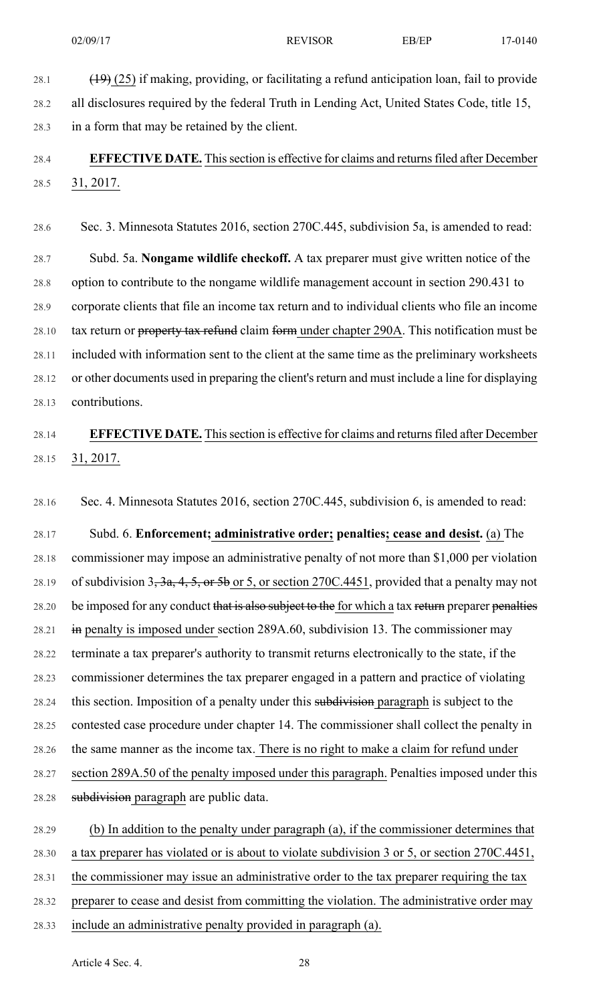28.1  $(19)$  (25) if making, providing, or facilitating a refund anticipation loan, fail to provide 28.2 all disclosures required by the federal Truth in Lending Act, United States Code, title 15, 28.3 in a form that may be retained by the client.

# 28.4 **EFFECTIVE DATE.** Thissection is effective for claims and returnsfiled after December 28.5 31, 2017.

28.6 Sec. 3. Minnesota Statutes 2016, section 270C.445, subdivision 5a, is amended to read:

28.7 Subd. 5a. **Nongame wildlife checkoff.** A tax preparer must give written notice of the 28.8 option to contribute to the nongame wildlife management account in section 290.431 to 28.9 corporate clients that file an income tax return and to individual clients who file an income 28.10 tax return or property tax refund claim form under chapter 290A. This notification must be 28.11 included with information sent to the client at the same time as the preliminary worksheets 28.12 or other documents used in preparing the client'sreturn and must include a line for displaying 28.13 contributions.

### 28.14 **EFFECTIVE DATE.** Thissection is effective for claims and returnsfiled after December 28.15 31, 2017.

28.16 Sec. 4. Minnesota Statutes 2016, section 270C.445, subdivision 6, is amended to read:

28.17 Subd. 6. **Enforcement; administrative order; penalties; cease and desist.** (a) The 28.18 commissioner may impose an administrative penalty of not more than \$1,000 per violation 28.19 of subdivision  $3, 3a, 4, 5, or 5b$  or 5, or section 270C.4451, provided that a penalty may not 28.20 be imposed for any conduct that is also subject to the for which a tax return preparer penalties 28.21 in penalty is imposed under section 289A.60, subdivision 13. The commissioner may 28.22 terminate a tax preparer's authority to transmit returns electronically to the state, if the 28.23 commissioner determines the tax preparer engaged in a pattern and practice of violating 28.24 this section. Imposition of a penalty under this subdivision paragraph is subject to the 28.25 contested case procedure under chapter 14. The commissioner shall collect the penalty in 28.26 the same manner as the income tax. There is no right to make a claim for refund under 28.27 section 289A.50 of the penalty imposed under this paragraph. Penalties imposed under this 28.28 subdivision paragraph are public data.

28.29 (b) In addition to the penalty under paragraph (a), if the commissioner determines that 28.30 a tax preparer has violated or is about to violate subdivision 3 or 5, or section 270C.4451, 28.31 the commissioner may issue an administrative order to the tax preparer requiring the tax 28.32 preparer to cease and desist from committing the violation. The administrative order may 28.33 include an administrative penalty provided in paragraph (a).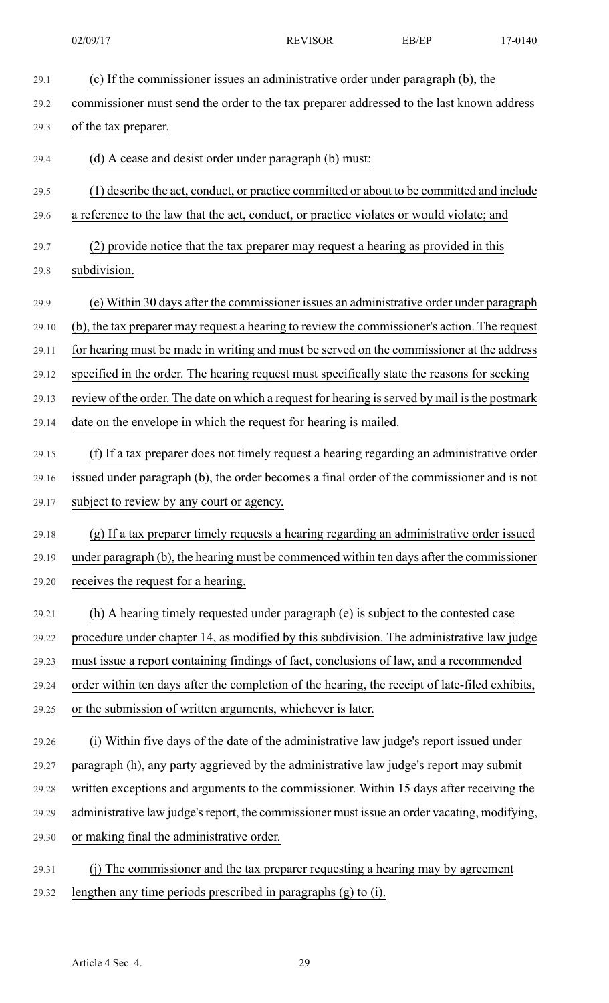| 29.1  | (c) If the commissioner issues an administrative order under paragraph (b), the                |
|-------|------------------------------------------------------------------------------------------------|
| 29.2  | commissioner must send the order to the tax preparer addressed to the last known address       |
| 29.3  | of the tax preparer.                                                                           |
| 29.4  | (d) A cease and desist order under paragraph (b) must:                                         |
| 29.5  | (1) describe the act, conduct, or practice committed or about to be committed and include      |
| 29.6  | a reference to the law that the act, conduct, or practice violates or would violate; and       |
| 29.7  | (2) provide notice that the tax preparer may request a hearing as provided in this             |
| 29.8  | subdivision.                                                                                   |
| 29.9  | (e) Within 30 days after the commissioner issues an administrative order under paragraph       |
| 29.10 | (b), the tax preparer may request a hearing to review the commissioner's action. The request   |
| 29.11 | for hearing must be made in writing and must be served on the commissioner at the address      |
| 29.12 | specified in the order. The hearing request must specifically state the reasons for seeking    |
| 29.13 | review of the order. The date on which a request for hearing is served by mail is the postmark |
| 29.14 | date on the envelope in which the request for hearing is mailed.                               |
| 29.15 | (f) If a tax preparer does not timely request a hearing regarding an administrative order      |
| 29.16 | issued under paragraph (b), the order becomes a final order of the commissioner and is not     |
| 29.17 | subject to review by any court or agency.                                                      |
| 29.18 | (g) If a tax preparer timely requests a hearing regarding an administrative order issued       |
| 29.19 | under paragraph (b), the hearing must be commenced within ten days after the commissioner      |
| 29.20 | receives the request for a hearing.                                                            |
| 29.21 | (h) A hearing timely requested under paragraph (e) is subject to the contested case            |
| 29.22 | procedure under chapter 14, as modified by this subdivision. The administrative law judge      |
| 29.23 | must issue a report containing findings of fact, conclusions of law, and a recommended         |
| 29.24 | order within ten days after the completion of the hearing, the receipt of late-filed exhibits, |
| 29.25 | or the submission of written arguments, whichever is later.                                    |
| 29.26 | (i) Within five days of the date of the administrative law judge's report issued under         |
| 29.27 | paragraph (h), any party aggrieved by the administrative law judge's report may submit         |
| 29.28 | written exceptions and arguments to the commissioner. Within 15 days after receiving the       |
| 29.29 | administrative law judge's report, the commissioner must issue an order vacating, modifying,   |
| 29.30 | or making final the administrative order.                                                      |
| 29.31 | The commissioner and the tax preparer requesting a hearing may by agreement                    |

29.32 lengthen any time periods prescribed in paragraphs (g) to (i).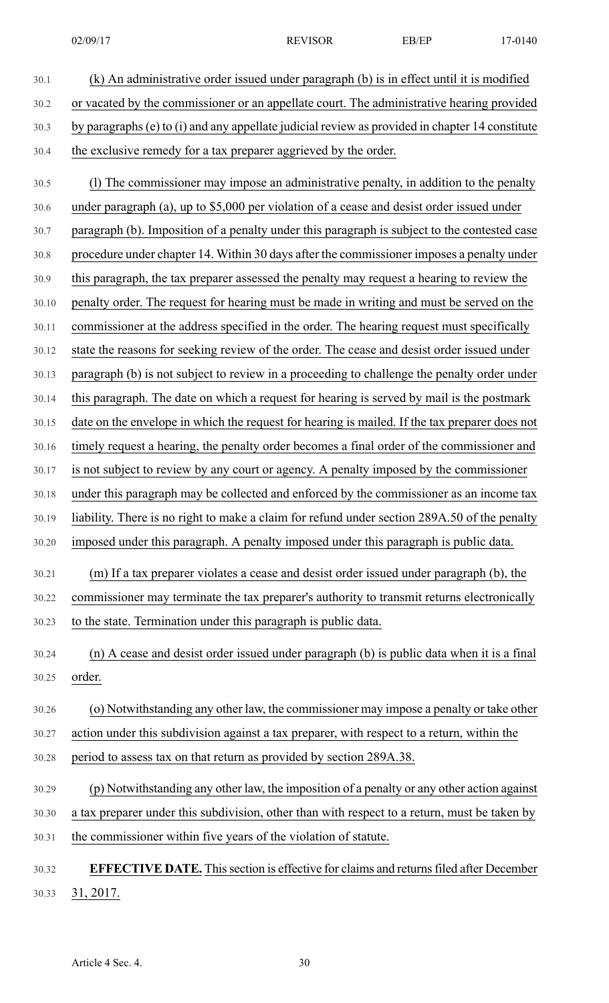- 30.1 (k) An administrative order issued under paragraph (b) is in effect until it is modified 30.2 or vacated by the commissioner or an appellate court. The administrative hearing provided 30.3 by paragraphs(e) to (i) and any appellate judicial review as provided in chapter 14 constitute 30.4 the exclusive remedy for a tax preparer aggrieved by the order.
- 30.5 (l) The commissioner may impose an administrative penalty, in addition to the penalty 30.6 under paragraph (a), up to \$5,000 per violation of a cease and desist order issued under 30.7 paragraph (b). Imposition of a penalty under this paragraph is subject to the contested case 30.8 procedure under chapter 14. Within 30 days after the commissioner imposes a penalty under 30.9 this paragraph, the tax preparer assessed the penalty may request a hearing to review the 30.10 penalty order. The request for hearing must be made in writing and must be served on the 30.11 commissioner at the address specified in the order. The hearing request must specifically 30.12 state the reasons for seeking review of the order. The cease and desist order issued under 30.13 paragraph (b) is not subject to review in a proceeding to challenge the penalty order under 30.14 this paragraph. The date on which a request for hearing is served by mail is the postmark 30.15 date on the envelope in which the request for hearing is mailed. If the tax preparer does not 30.16 timely request a hearing, the penalty order becomes a final order of the commissioner and 30.17 is not subject to review by any court or agency. A penalty imposed by the commissioner 30.18 under this paragraph may be collected and enforced by the commissioner as an income tax 30.19 liability. There is no right to make a claim for refund under section 289A.50 of the penalty 30.20 imposed under this paragraph. A penalty imposed under this paragraph is public data. 30.21 (m) If a tax preparer violates a cease and desist order issued under paragraph (b), the 30.22 commissioner may terminate the tax preparer's authority to transmit returns electronically 30.23 to the state. Termination under this paragraph is public data. 30.24 (n) A cease and desist order issued under paragraph (b) is public data when it is a final 30.25 order. 30.26 (o) Notwithstanding any other law, the commissioner may impose a penalty or take other 30.27 action under this subdivision against a tax preparer, with respect to a return, within the 30.28 period to assess tax on that return as provided by section 289A.38. 30.29 (p) Notwithstanding any other law, the imposition of a penalty or any other action against 30.30 a tax preparer under this subdivision, other than with respect to a return, must be taken by 30.31 the commissioner within five years of the violation of statute. 30.32 **EFFECTIVE DATE.** Thissection is effective for claims and returnsfiled after December
- 30.33 31, 2017.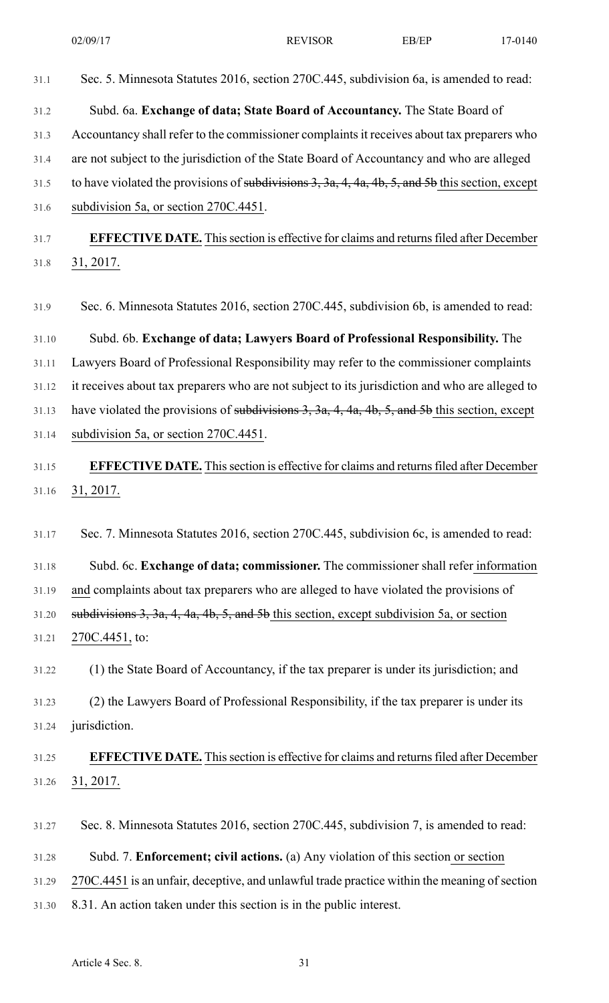| 31.1 | Sec. 5. Minnesota Statutes 2016, section 270C.445, subdivision 6a, is amended to read:               |
|------|------------------------------------------------------------------------------------------------------|
| 31.2 | Subd. 6a. Exchange of data; State Board of Accountancy. The State Board of                           |
| 31.3 | Accountancy shall refer to the commissioner complaints it receives about tax preparers who           |
| 31.4 | are not subject to the jurisdiction of the State Board of Accountancy and who are alleged            |
| 31.5 | to have violated the provisions of subdivisions $3, 3a, 4, 4a, 4b, 5,$ and $5b$ this section, except |
| 31.6 | subdivision 5a, or section 270C.4451.                                                                |
|      |                                                                                                      |

31.7 **EFFECTIVE DATE.** Thissection is effective for claims and returnsfiled after December 31.8 31, 2017.

31.9 Sec. 6. Minnesota Statutes 2016, section 270C.445, subdivision 6b, is amended to read:

31.10 Subd. 6b. **Exchange of data; Lawyers Board of Professional Responsibility.** The 31.11 Lawyers Board of Professional Responsibility may refer to the commissioner complaints 31.12 it receives about tax preparers who are not subject to its jurisdiction and who are alleged to 31.13 have violated the provisions of subdivisions  $3, 3a, 4, 4a, 4b, 5$ , and 5b this section, except 31.14 subdivision 5a, or section 270C.4451.

### 31.15 **EFFECTIVE DATE.** Thissection is effective for claims and returnsfiled after December 31.16 31, 2017.

31.17 Sec. 7. Minnesota Statutes 2016, section 270C.445, subdivision 6c, is amended to read:

31.18 Subd. 6c. **Exchange of data; commissioner.** The commissioner shall refer information 31.19 and complaints about tax preparers who are alleged to have violated the provisions of 31.20 subdivisions 3, 3a, 4, 4a, 4b, 5, and 5b this section, except subdivision 5a, or section 31.21 270C.4451, to:

31.22 (1) the State Board of Accountancy, if the tax preparer is under its jurisdiction; and

31.23 (2) the Lawyers Board of Professional Responsibility, if the tax preparer is under its 31.24 jurisdiction.

# 31.25 **EFFECTIVE DATE.** Thissection is effective for claims and returnsfiled after December 31.26 31, 2017.

31.27 Sec. 8. Minnesota Statutes 2016, section 270C.445, subdivision 7, is amended to read:

- 31.28 Subd. 7. **Enforcement; civil actions.** (a) Any violation of this section or section
- 31.29 270C.4451 is an unfair, deceptive, and unlawful trade practice within the meaning of section
- 31.30 8.31. An action taken under this section is in the public interest.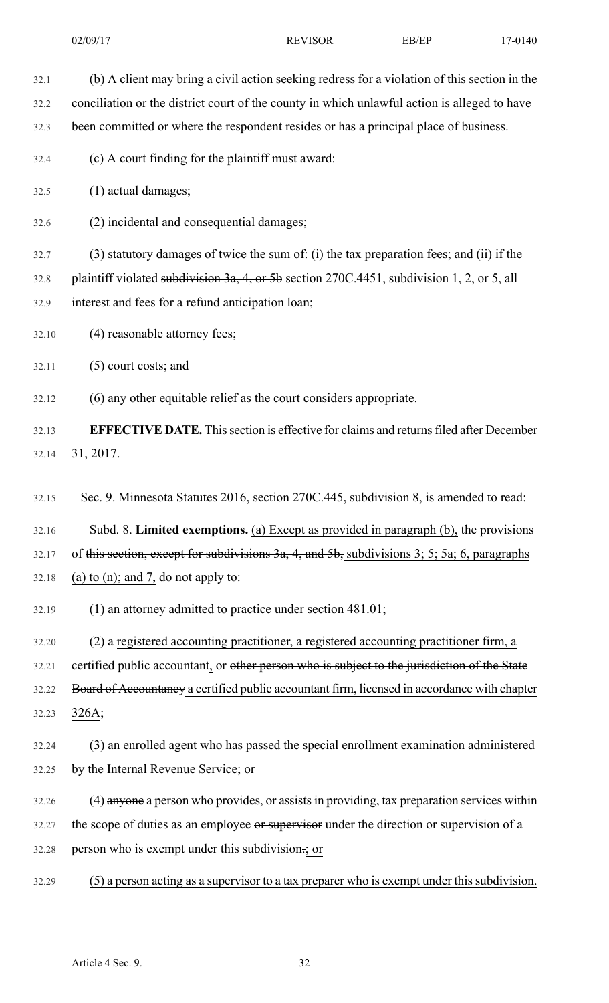32.1 (b) A client may bring a civil action seeking redress for a violation of this section in the 32.2 conciliation or the district court of the county in which unlawful action is alleged to have 32.3 been committed or where the respondent resides or has a principal place of business. 32.4 (c) A court finding for the plaintiff must award: 32.5 (1) actual damages; 32.6 (2) incidental and consequential damages; 32.7 (3) statutory damages of twice the sum of: (i) the tax preparation fees; and (ii) if the 32.8 plaintiff violated subdivision 3a, 4, or 5b section 270C.4451, subdivision 1, 2, or 5, all 32.9 interest and fees for a refund anticipation loan; 32.10 (4) reasonable attorney fees;  $32.11$  (5) court costs; and 32.12 (6) any other equitable relief as the court considers appropriate. 32.13 **EFFECTIVE DATE.** Thissection is effective for claims and returnsfiled after December 32.14 31, 2017. 32.15 Sec. 9. Minnesota Statutes 2016, section 270C.445, subdivision 8, is amended to read: 32.16 Subd. 8. **Limited exemptions.** (a) Except as provided in paragraph (b), the provisions 32.17 of this section, except for subdivisions 3a, 4, and 5b, subdivisions 3; 5; 5a; 6, paragraphs 32.18 (a) to (n); and 7, do not apply to: 32.19 (1) an attorney admitted to practice under section 481.01; 32.20 (2) a registered accounting practitioner, a registered accounting practitioner firm, a 32.21 certified public accountant, or other person who is subject to the jurisdiction of the State 32.22 Board of Accountaney a certified public accountant firm, licensed in accordance with chapter 32.23 326A; 32.24 (3) an enrolled agent who has passed the special enrollment examination administered 32.25 by the Internal Revenue Service; or  $32.26$  (4) anyone a person who provides, or assists in providing, tax preparation services within 32.27 the scope of duties as an employee or supervisor under the direction or supervision of a 32.28 person who is exempt under this subdivision.; or 32.29 (5) a person acting as a supervisor to a tax preparer who is exempt under this subdivision.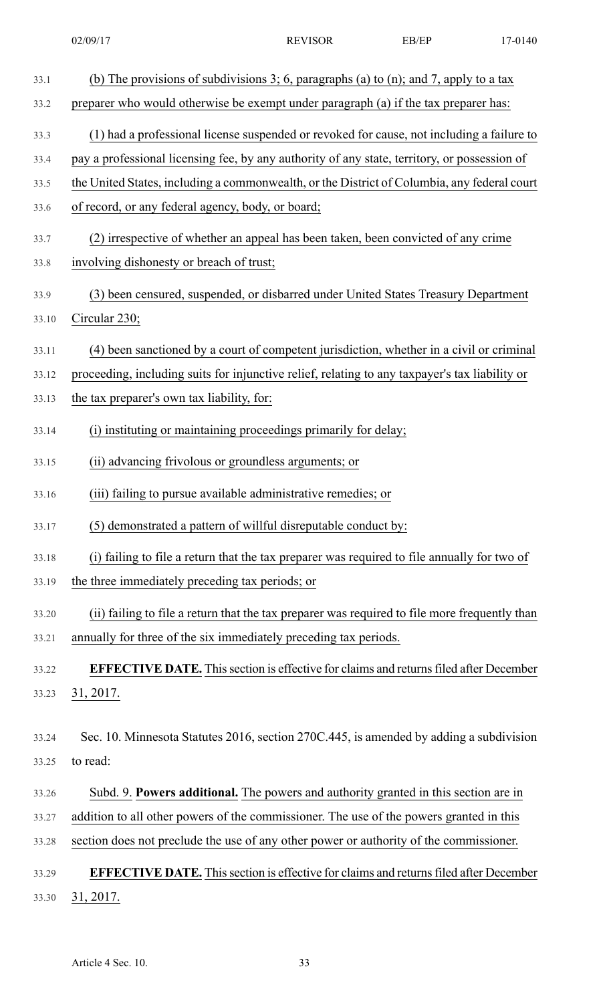| 33.1  | (b) The provisions of subdivisions 3; 6, paragraphs (a) to (n); and 7, apply to a tax              |
|-------|----------------------------------------------------------------------------------------------------|
| 33.2  | preparer who would otherwise be exempt under paragraph (a) if the tax preparer has:                |
| 33.3  | (1) had a professional license suspended or revoked for cause, not including a failure to          |
| 33.4  | pay a professional licensing fee, by any authority of any state, territory, or possession of       |
| 33.5  | the United States, including a commonwealth, or the District of Columbia, any federal court        |
| 33.6  | of record, or any federal agency, body, or board;                                                  |
| 33.7  | (2) irrespective of whether an appeal has been taken, been convicted of any crime                  |
| 33.8  | involving dishonesty or breach of trust;                                                           |
| 33.9  | (3) been censured, suspended, or disbarred under United States Treasury Department                 |
| 33.10 | Circular 230;                                                                                      |
| 33.11 | (4) been sanctioned by a court of competent jurisdiction, whether in a civil or criminal           |
| 33.12 | proceeding, including suits for injunctive relief, relating to any taxpayer's tax liability or     |
| 33.13 | the tax preparer's own tax liability, for:                                                         |
| 33.14 | (i) instituting or maintaining proceedings primarily for delay;                                    |
| 33.15 | (ii) advancing frivolous or groundless arguments; or                                               |
| 33.16 | (iii) failing to pursue available administrative remedies; or                                      |
| 33.17 | (5) demonstrated a pattern of willful disreputable conduct by:                                     |
| 33.18 | (i) failing to file a return that the tax preparer was required to file annually for two of        |
| 33.19 | the three immediately preceding tax periods; or                                                    |
| 33.20 | (ii) failing to file a return that the tax preparer was required to file more frequently than      |
| 33.21 | annually for three of the six immediately preceding tax periods.                                   |
| 33.22 | <b>EFFECTIVE DATE.</b> This section is effective for claims and returns filed after December       |
| 33.23 | 31, 2017.                                                                                          |
|       |                                                                                                    |
| 33.24 | Sec. 10. Minnesota Statutes 2016, section 270C.445, is amended by adding a subdivision<br>to read: |
| 33.25 |                                                                                                    |
| 33.26 | Subd. 9. Powers additional. The powers and authority granted in this section are in                |
| 33.27 | addition to all other powers of the commissioner. The use of the powers granted in this            |
| 33.28 | section does not preclude the use of any other power or authority of the commissioner.             |
| 33.29 | <b>EFFECTIVE DATE.</b> This section is effective for claims and returns filed after December       |
| 33.30 | 31, 2017.                                                                                          |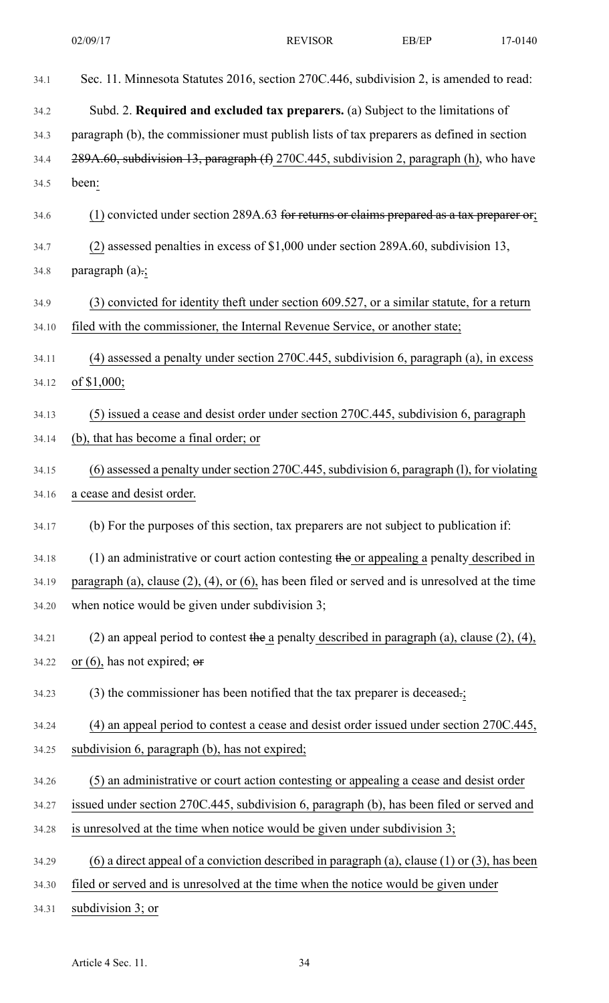34.1 Sec. 11. Minnesota Statutes 2016, section 270C.446, subdivision 2, is amended to read: 34.2 Subd. 2. **Required and excluded tax preparers.** (a) Subject to the limitations of 34.3 paragraph (b), the commissioner must publish lists of tax preparers as defined in section 34.4 289A.60, subdivision 13, paragraph (f) 270C.445, subdivision 2, paragraph (h), who have 34.5 been: 34.6 (1) convicted under section 289A.63 for returns or claims prepared as a tax preparer or; 34.7 (2) assessed penalties in excess of \$1,000 under section 289A.60, subdivision 13, 34.8 paragraph  $(a):$ 34.9 (3) convicted for identity theft under section 609.527, or a similar statute, for a return 34.10 filed with the commissioner, the Internal Revenue Service, or another state; 34.11 (4) assessed a penalty under section 270C.445, subdivision 6, paragraph (a), in excess 34.12 of \$1,000; 34.13 (5) issued a cease and desist order under section 270C.445, subdivision 6, paragraph 34.14 (b), that has become a final order; or 34.15 (6) assessed a penalty under section 270C.445, subdivision 6, paragraph (l), for violating 34.16 a cease and desist order. 34.17 (b) For the purposes of this section, tax preparers are not subject to publication if: 34.18 (1) an administrative or court action contesting the or appealing a penalty described in 34.19 paragraph (a), clause (2), (4), or (6), has been filed or served and is unresolved at the time 34.20 when notice would be given under subdivision 3;  $34.21$  (2) an appeal period to contest the a penalty described in paragraph (a), clause (2), (4),  $34.22$  or (6), has not expired; or 34.23 (3) the commissioner has been notified that the tax preparer is deceased.; 34.24 (4) an appeal period to contest a cease and desist order issued under section 270C.445, 34.25 subdivision 6, paragraph (b), has not expired; 34.26 (5) an administrative or court action contesting or appealing a cease and desist order 34.27 issued under section 270C.445, subdivision 6, paragraph (b), has been filed or served and 34.28 is unresolved at the time when notice would be given under subdivision 3; 34.29 (6) a direct appeal of a conviction described in paragraph (a), clause (1) or (3), has been 34.30 filed or served and is unresolved at the time when the notice would be given under 34.31 subdivision 3; or 02/09/17 REVISOR EB/EP 17-0140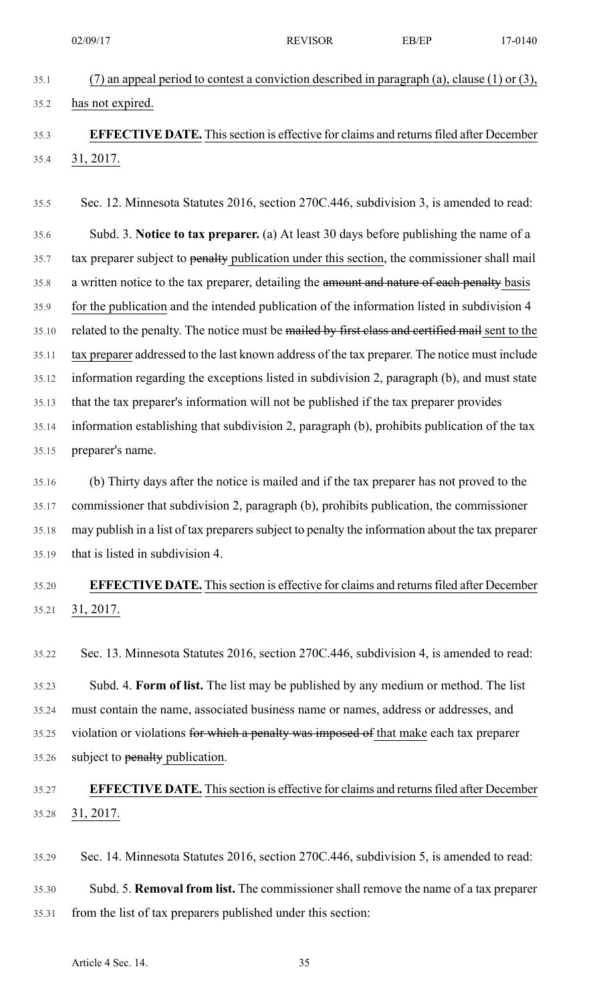35.1 (7) an appeal period to contest a conviction described in paragraph (a), clause (1) or (3), 35.2 has not expired.

# 35.3 **EFFECTIVE DATE.** Thissection is effective for claims and returnsfiled after December 35.4 31, 2017.

35.5 Sec. 12. Minnesota Statutes 2016, section 270C.446, subdivision 3, is amended to read:

35.6 Subd. 3. **Notice to tax preparer.** (a) At least 30 days before publishing the name of a 35.7 tax preparer subject to penalty publication under this section, the commissioner shall mail 35.8 a written notice to the tax preparer, detailing the amount and nature of each penalty basis 35.9 for the publication and the intended publication of the information listed in subdivision 4 35.10 related to the penalty. The notice must be mailed by first class and certified mail sent to the 35.11 tax preparer addressed to the last known address of the tax preparer. The notice must include 35.12 information regarding the exceptions listed in subdivision 2, paragraph (b), and must state 35.13 that the tax preparer's information will not be published if the tax preparer provides 35.14 information establishing that subdivision 2, paragraph (b), prohibits publication of the tax 35.15 preparer's name.

35.16 (b) Thirty days after the notice is mailed and if the tax preparer has not proved to the 35.17 commissioner that subdivision 2, paragraph (b), prohibits publication, the commissioner 35.18 may publish in a list of tax preparerssubject to penalty the information about the tax preparer 35.19 that is listed in subdivision 4.

# 35.20 **EFFECTIVE DATE.** Thissection is effective for claims and returnsfiled after December 35.21 31, 2017.

35.22 Sec. 13. Minnesota Statutes 2016, section 270C.446, subdivision 4, is amended to read:

35.23 Subd. 4. **Form of list.** The list may be published by any medium or method. The list 35.24 must contain the name, associated business name or names, address or addresses, and 35.25 violation or violations for which a penalty was imposed of that make each tax preparer 35.26 subject to penalty publication.

# 35.27 **EFFECTIVE DATE.** Thissection is effective for claims and returnsfiled after December 35.28 31, 2017.

35.29 Sec. 14. Minnesota Statutes 2016, section 270C.446, subdivision 5, is amended to read:

35.30 Subd. 5. **Removal from list.** The commissioner shall remove the name of a tax preparer 35.31 from the list of tax preparers published under this section: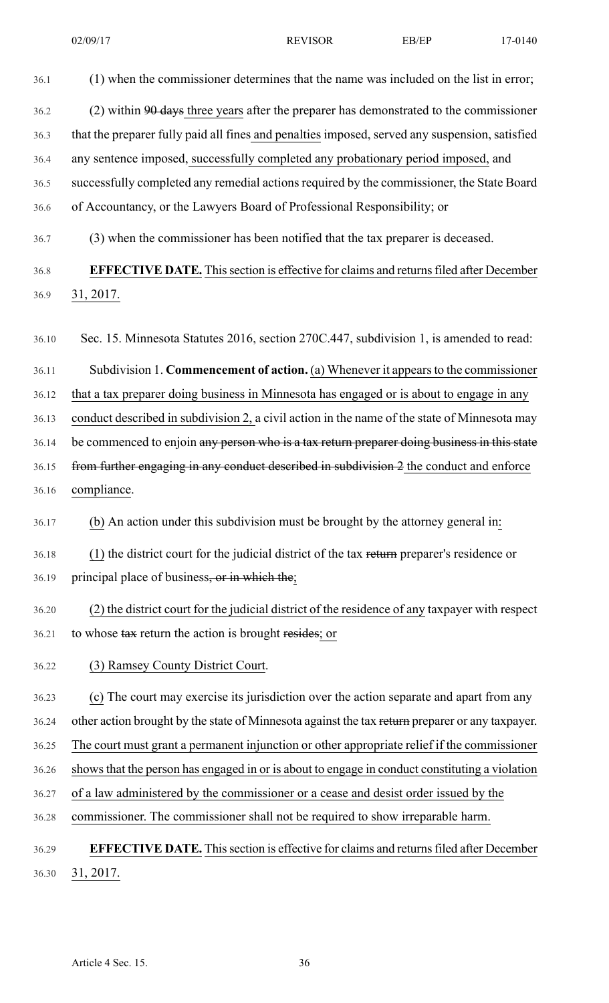| 36.1  | (1) when the commissioner determines that the name was included on the list in error;           |
|-------|-------------------------------------------------------------------------------------------------|
| 36.2  | (2) within $90$ days three years after the preparer has demonstrated to the commissioner        |
| 36.3  | that the preparer fully paid all fines and penalties imposed, served any suspension, satisfied  |
| 36.4  | any sentence imposed, successfully completed any probationary period imposed, and               |
| 36.5  | successfully completed any remedial actions required by the commissioner, the State Board       |
| 36.6  | of Accountancy, or the Lawyers Board of Professional Responsibility; or                         |
| 36.7  | (3) when the commissioner has been notified that the tax preparer is deceased.                  |
| 36.8  | <b>EFFECTIVE DATE.</b> This section is effective for claims and returns filed after December    |
| 36.9  | 31, 2017.                                                                                       |
| 36.10 | Sec. 15. Minnesota Statutes 2016, section 270C.447, subdivision 1, is amended to read:          |
| 36.11 | Subdivision 1. Commencement of action. (a) Whenever it appears to the commissioner              |
| 36.12 | that a tax preparer doing business in Minnesota has engaged or is about to engage in any        |
| 36.13 | conduct described in subdivision 2, a civil action in the name of the state of Minnesota may    |
| 36.14 | be commenced to enjoin any person who is a tax return preparer doing business in this state     |
| 36.15 | from further engaging in any conduct described in subdivision 2 the conduct and enforce         |
| 36.16 | compliance.                                                                                     |
| 36.17 | (b) An action under this subdivision must be brought by the attorney general in:                |
| 36.18 | (1) the district court for the judicial district of the tax return preparer's residence or      |
| 36.19 | principal place of business, or in which the;                                                   |
| 36.20 | (2) the district court for the judicial district of the residence of any taxpayer with respect  |
| 36.21 | to whose tax return the action is brought resides; or                                           |
| 36.22 | (3) Ramsey County District Court.                                                               |
| 36.23 | (c) The court may exercise its jurisdiction over the action separate and apart from any         |
| 36.24 | other action brought by the state of Minnesota against the tax return preparer or any taxpayer. |
| 36.25 | The court must grant a permanent injunction or other appropriate relief if the commissioner     |
| 36.26 | shows that the person has engaged in or is about to engage in conduct constituting a violation  |
| 36.27 | of a law administered by the commissioner or a cease and desist order issued by the             |
| 36.28 | commissioner. The commissioner shall not be required to show irreparable harm.                  |
| 36.29 | <b>EFFECTIVE DATE.</b> This section is effective for claims and returns filed after December    |
| 36.30 | 31, 2017.                                                                                       |
|       |                                                                                                 |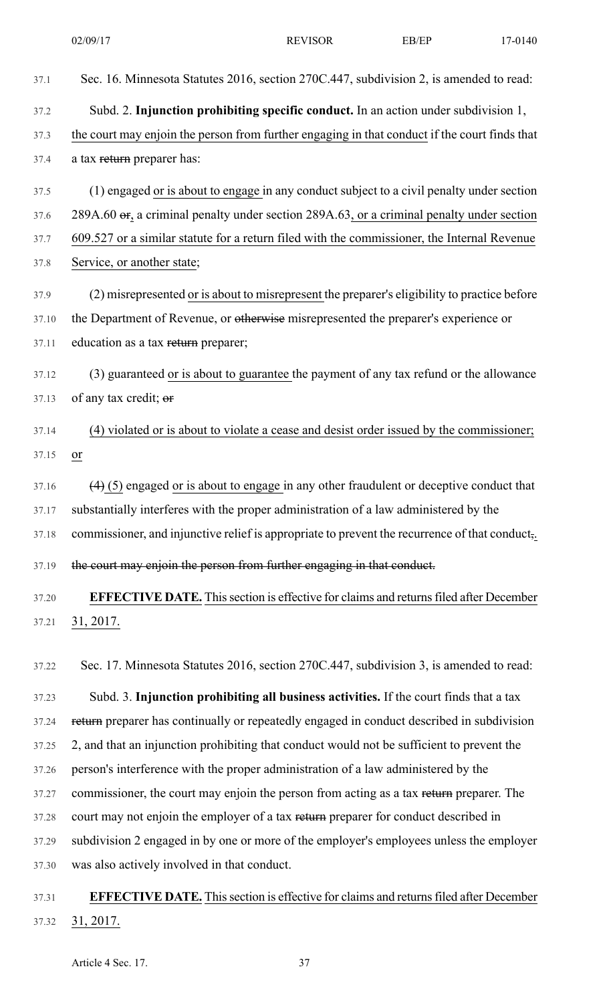| 37.1  | Sec. 16. Minnesota Statutes 2016, section 270C.447, subdivision 2, is amended to read:         |
|-------|------------------------------------------------------------------------------------------------|
| 37.2  | Subd. 2. Injunction prohibiting specific conduct. In an action under subdivision 1,            |
| 37.3  | the court may enjoin the person from further engaging in that conduct if the court finds that  |
| 37.4  | a tax return preparer has:                                                                     |
| 37.5  | (1) engaged or is about to engage in any conduct subject to a civil penalty under section      |
| 37.6  | 289A.60 or, a criminal penalty under section 289A.63, or a criminal penalty under section      |
| 37.7  | 609.527 or a similar statute for a return filed with the commissioner, the Internal Revenue    |
| 37.8  | Service, or another state;                                                                     |
| 37.9  | (2) misrepresented or is about to misrepresent the preparer's eligibility to practice before   |
| 37.10 | the Department of Revenue, or otherwise misrepresented the preparer's experience or            |
| 37.11 | education as a tax return preparer;                                                            |
| 37.12 | (3) guaranteed or is about to guarantee the payment of any tax refund or the allowance         |
| 37.13 | of any tax credit; or                                                                          |
| 37.14 | (4) violated or is about to violate a cease and desist order issued by the commissioner;       |
| 37.15 | or                                                                                             |
| 37.16 | $(4)$ (5) engaged or is about to engage in any other fraudulent or deceptive conduct that      |
| 37.17 | substantially interferes with the proper administration of a law administered by the           |
| 37.18 | commissioner, and injunctive relief is appropriate to prevent the recurrence of that conduct,. |
| 37.19 | the court may enjoin the person from further engaging in that conduct.                         |
| 37.20 | <b>EFFECTIVE DATE.</b> This section is effective for claims and returns filed after December   |
| 37.21 | 31, 2017.                                                                                      |
| 37.22 | Sec. 17. Minnesota Statutes 2016, section 270C.447, subdivision 3, is amended to read:         |
| 37.23 | Subd. 3. Injunction prohibiting all business activities. If the court finds that a tax         |
| 37.24 | return preparer has continually or repeatedly engaged in conduct described in subdivision      |
| 37.25 | 2, and that an injunction prohibiting that conduct would not be sufficient to prevent the      |
| 37.26 | person's interference with the proper administration of a law administered by the              |
| 37.27 | commissioner, the court may enjoin the person from acting as a tax return preparer. The        |
| 37.28 | court may not enjoin the employer of a tax return preparer for conduct described in            |
| 37.29 | subdivision 2 engaged in by one or more of the employer's employees unless the employer        |

37.30 was also actively involved in that conduct.

# 37.31 **EFFECTIVE DATE.** Thissection is effective for claims and returnsfiled after December 37.32 31, 2017.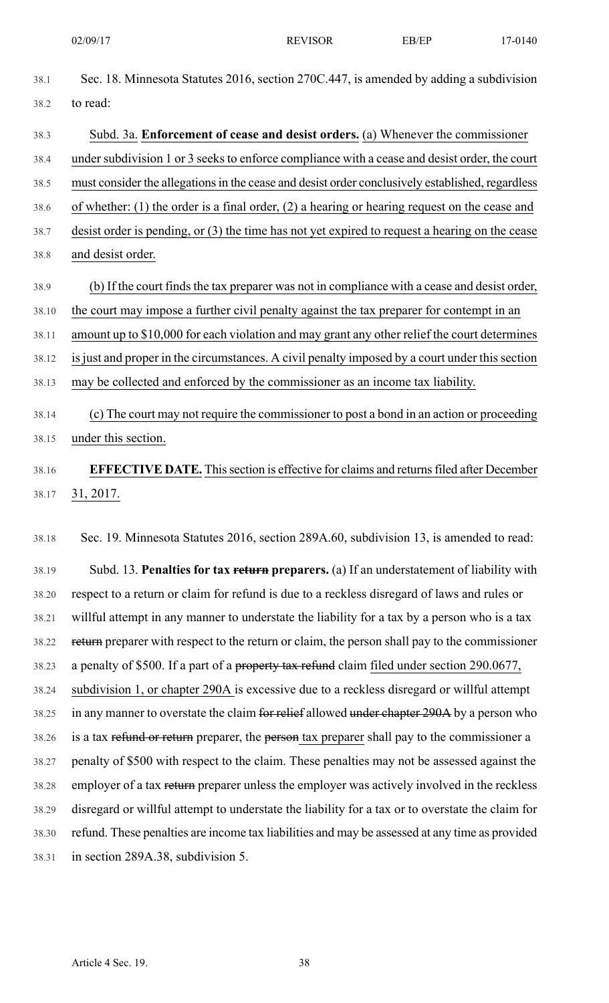- 38.1 Sec. 18. Minnesota Statutes 2016, section 270C.447, is amended by adding a subdivision 38.2 to read: 38.3 Subd. 3a. **Enforcement of cease and desist orders.** (a) Whenever the commissioner 38.4 under subdivision 1 or 3 seeks to enforce compliance with a cease and desist order, the court 38.5 must consider the allegations in the cease and desist order conclusively established, regardless 38.6 of whether: (1) the order is a final order, (2) a hearing or hearing request on the cease and
- 38.7 desist order is pending, or (3) the time has not yet expired to request a hearing on the cease
- 38.8 and desist order.
- 38.9 (b) If the court finds the tax preparer was not in compliance with a cease and desist order, 38.10 the court may impose a further civil penalty against the tax preparer for contempt in an
- 38.11 amount up to \$10,000 for each violation and may grant any other relief the court determines

38.12 is just and proper in the circumstances. A civil penalty imposed by a court under this section

- 38.13 may be collected and enforced by the commissioner as an income tax liability.
- 38.14 (c) The court may not require the commissioner to post a bond in an action or proceeding 38.15 under this section.

### 38.16 **EFFECTIVE DATE.** Thissection is effective for claims and returnsfiled after December 38.17 31, 2017.

38.18 Sec. 19. Minnesota Statutes 2016, section 289A.60, subdivision 13, is amended to read:

38.19 Subd. 13. **Penalties for tax return preparers.** (a) If an understatement of liability with 38.20 respect to a return or claim for refund is due to a reckless disregard of laws and rules or 38.21 willful attempt in any manner to understate the liability for a tax by a person who is a tax 38.22 return preparer with respect to the return or claim, the person shall pay to the commissioner 38.23 a penalty of \$500. If a part of a property tax refund claim filed under section 290.0677, 38.24 subdivision 1, or chapter 290A is excessive due to a reckless disregard or willful attempt 38.25 in any manner to overstate the claim for relief allowed under chapter 290A by a person who 38.26 is a tax refund or return preparer, the person tax preparer shall pay to the commissioner a 38.27 penalty of \$500 with respect to the claim. These penalties may not be assessed against the 38.28 employer of a tax return preparer unless the employer was actively involved in the reckless 38.29 disregard or willful attempt to understate the liability for a tax or to overstate the claim for 38.30 refund. These penalties are income tax liabilities and may be assessed at any time as provided 38.31 in section 289A.38, subdivision 5.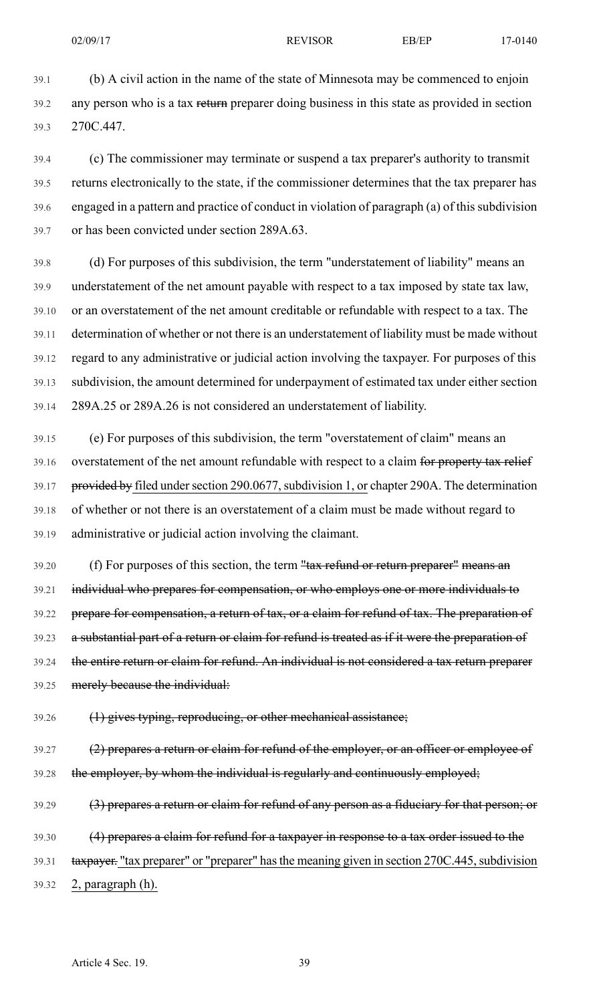39.1 (b) A civil action in the name of the state of Minnesota may be commenced to enjoin 39.2 any person who is a tax return preparer doing business in this state as provided in section 39.3 270C.447.

39.4 (c) The commissioner may terminate or suspend a tax preparer's authority to transmit 39.5 returns electronically to the state, if the commissioner determines that the tax preparer has 39.6 engaged in a pattern and practice of conduct in violation of paragraph (a) of this subdivision 39.7 or has been convicted under section 289A.63.

39.8 (d) For purposes of this subdivision, the term "understatement of liability" means an 39.9 understatement of the net amount payable with respect to a tax imposed by state tax law, 39.10 or an overstatement of the net amount creditable or refundable with respect to a tax. The 39.11 determination of whether or not there is an understatement of liability must be made without 39.12 regard to any administrative or judicial action involving the taxpayer. For purposes of this 39.13 subdivision, the amount determined for underpayment of estimated tax under either section 39.14 289A.25 or 289A.26 is not considered an understatement of liability.

39.15 (e) For purposes of this subdivision, the term "overstatement of claim" means an 39.16 overstatement of the net amount refundable with respect to a claim for property tax relief 39.17 provided by filed under section 290.0677, subdivision 1, or chapter 290A. The determination 39.18 of whether or not there is an overstatement of a claim must be made without regard to 39.19 administrative or judicial action involving the claimant.

39.20 (f) For purposes of this section, the term "tax refund or return preparer" means an 39.21 individual who prepares for compensation, or who employs one or more individuals to 39.22 prepare for compensation, a return of tax, or a claim for refund of tax. The preparation of 39.23 a substantial part of a return or claim for refund is treated as if it were the preparation of 39.24 the entire return or claim for refund. An individual is not considered a tax return preparer 39.25 merely because the individual:

39.26 (1) gives typing, reproducing, or other mechanical assistance;

39.27 (2) prepares a return or claim for refund of the employer, or an officer or employee of 39.28 the employer, by whom the individual is regularly and continuously employed;

39.29 (3) prepares a return or claim for refund of any person as a fiduciary for that person; or

39.30 (4) prepares a claim for refund for a taxpayer in response to a tax order issued to the

39.31 tax payer. "tax preparer" or "preparer" has the meaning given in section 270C.445, subdivision

39.32 2, paragraph (h).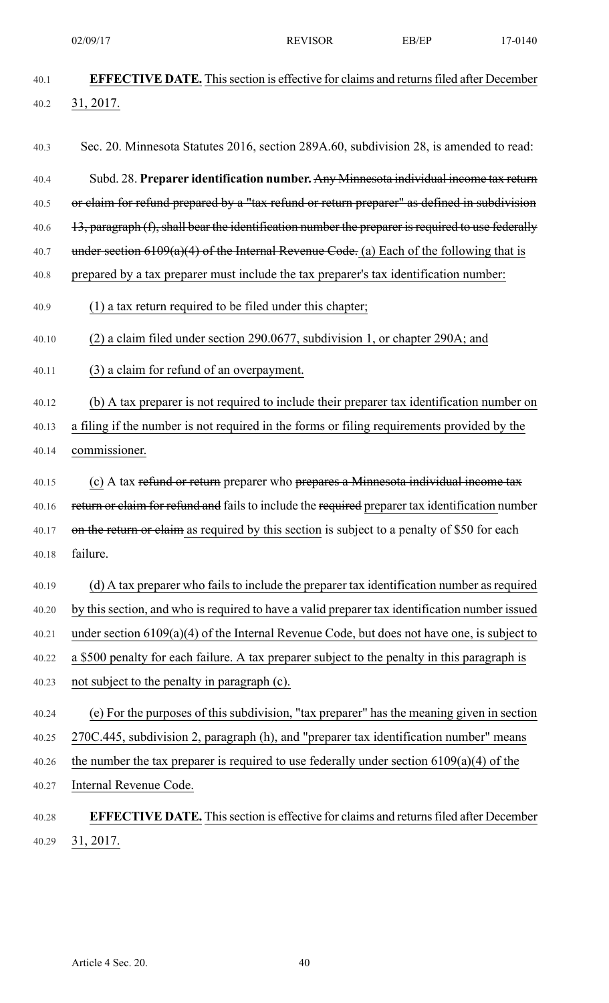| 40.1  | <b>EFFECTIVE DATE.</b> This section is effective for claims and returns filed after December      |
|-------|---------------------------------------------------------------------------------------------------|
| 40.2  | <u>31, 2017.</u>                                                                                  |
|       |                                                                                                   |
| 40.3  | Sec. 20. Minnesota Statutes 2016, section 289A.60, subdivision 28, is amended to read:            |
| 40.4  | Subd. 28. Preparer identification number. Any Minnesota individual income tax return              |
| 40.5  | or claim for refund prepared by a "tax refund or return preparer" as defined in subdivision       |
| 40.6  | 13, paragraph (f), shall bear the identification number the preparer is required to use federally |
| 40.7  | under section $6109(a)(4)$ of the Internal Revenue Code. (a) Each of the following that is        |
| 40.8  | prepared by a tax preparer must include the tax preparer's tax identification number:             |
| 40.9  | (1) a tax return required to be filed under this chapter;                                         |
| 40.10 | (2) a claim filed under section 290.0677, subdivision 1, or chapter 290A; and                     |
| 40.11 | (3) a claim for refund of an overpayment.                                                         |
| 40.12 | (b) A tax preparer is not required to include their preparer tax identification number on         |
| 40.13 | a filing if the number is not required in the forms or filing requirements provided by the        |
| 40.14 | commissioner.                                                                                     |
| 40.15 | (c) A tax refund or return preparer who prepares a Minnesota individual income tax                |
| 40.16 | return or claim for refund and fails to include the required preparer tax identification number   |
| 40.17 | on the return or claim as required by this section is subject to a penalty of \$50 for each       |
| 40.18 | failure.                                                                                          |
| 40.19 | (d) A tax preparer who fails to include the preparer tax identification number as required        |
| 40.20 | by this section, and who is required to have a valid preparer tax identification number issued    |
| 40.21 | under section $6109(a)(4)$ of the Internal Revenue Code, but does not have one, is subject to     |
| 40.22 | a \$500 penalty for each failure. A tax preparer subject to the penalty in this paragraph is      |
| 40.23 | not subject to the penalty in paragraph (c).                                                      |
| 40.24 | (e) For the purposes of this subdivision, "tax preparer" has the meaning given in section         |
| 40.25 | 270C.445, subdivision 2, paragraph (h), and "preparer tax identification number" means            |
| 40.26 | the number the tax preparer is required to use federally under section $6109(a)(4)$ of the        |
| 40.27 | Internal Revenue Code.                                                                            |
| 40.28 | <b>EFFECTIVE DATE.</b> This section is effective for claims and returns filed after December      |
| 40.29 | 31, 2017.                                                                                         |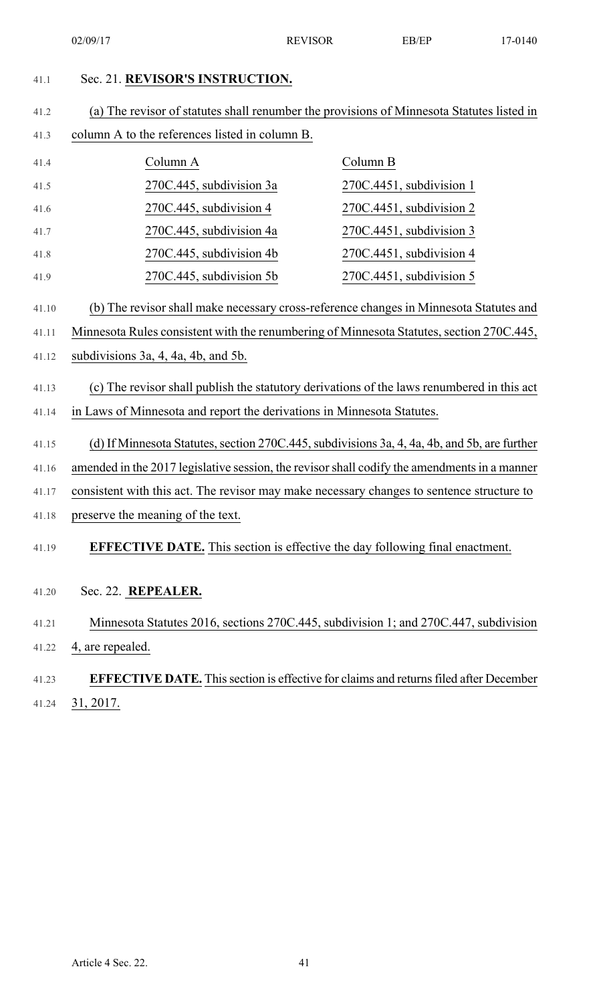|       | 02/09/17                                                                                     | <b>REVISOR</b> | EB/EP                       | 17-0140 |
|-------|----------------------------------------------------------------------------------------------|----------------|-----------------------------|---------|
| 41.1  | Sec. 21. REVISOR'S INSTRUCTION.                                                              |                |                             |         |
| 41.2  | (a) The revisor of statutes shall renumber the provisions of Minnesota Statutes listed in    |                |                             |         |
| 41.3  | column A to the references listed in column B.                                               |                |                             |         |
| 41.4  | Column A                                                                                     |                | Column B                    |         |
| 41.5  | 270C.445, subdivision 3a                                                                     |                | 270C.4451, subdivision 1    |         |
| 41.6  | 270C.445, subdivision 4                                                                      |                | $270C.4451$ , subdivision 2 |         |
| 41.7  | 270C.445, subdivision 4a                                                                     |                | $270C.4451$ , subdivision 3 |         |
| 41.8  | 270C.445, subdivision 4b                                                                     |                | 270C.4451, subdivision 4    |         |
| 41.9  | 270C.445, subdivision 5b                                                                     |                | $270C.4451$ , subdivision 5 |         |
| 41.10 | (b) The revisor shall make necessary cross-reference changes in Minnesota Statutes and       |                |                             |         |
| 41.11 | Minnesota Rules consistent with the renumbering of Minnesota Statutes, section 270C.445,     |                |                             |         |
| 41.12 | subdivisions $3a$ , $4$ , $4a$ , $4b$ , and $5b$ .                                           |                |                             |         |
| 41.13 | (c) The revisor shall publish the statutory derivations of the laws renumbered in this act   |                |                             |         |
| 41.14 | in Laws of Minnesota and report the derivations in Minnesota Statutes.                       |                |                             |         |
| 41.15 | (d) If Minnesota Statutes, section 270C.445, subdivisions 3a, 4, 4a, 4b, and 5b, are further |                |                             |         |
| 41.16 | amended in the 2017 legislative session, the revisor shall codify the amendments in a manner |                |                             |         |
| 41.17 | consistent with this act. The revisor may make necessary changes to sentence structure to    |                |                             |         |
| 41.18 | preserve the meaning of the text.                                                            |                |                             |         |
| 41.19 | <b>EFFECTIVE DATE.</b> This section is effective the day following final enactment.          |                |                             |         |
| 41.20 | Sec. 22. REPEALER.                                                                           |                |                             |         |
| 41.21 | Minnesota Statutes 2016, sections 270C.445, subdivision 1; and 270C.447, subdivision         |                |                             |         |
| 41.22 | 4, are repealed.                                                                             |                |                             |         |
| 41.23 | <b>EFFECTIVE DATE.</b> This section is effective for claims and returns filed after December |                |                             |         |
| 41.24 | 31, 2017.                                                                                    |                |                             |         |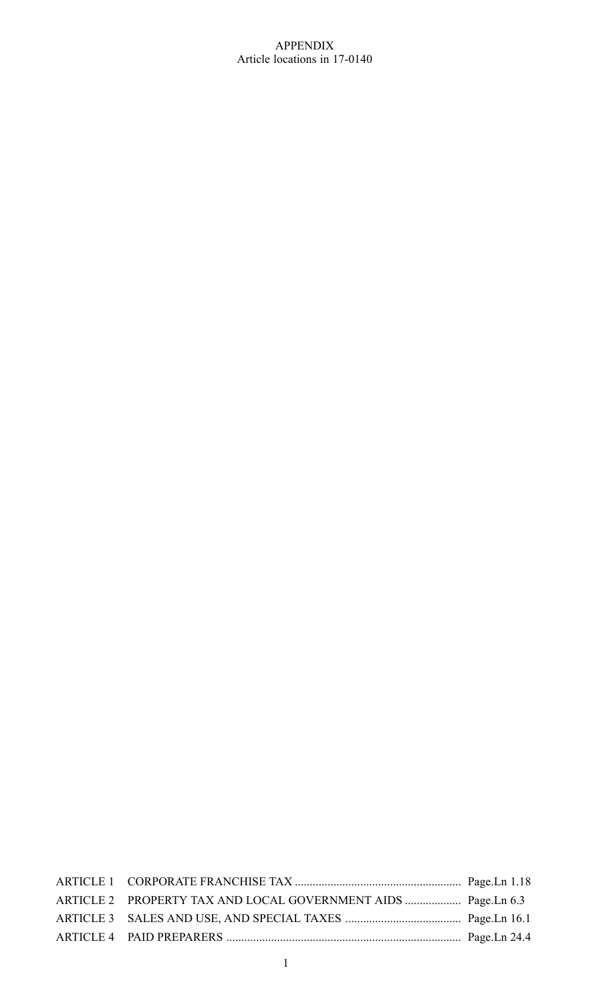#### APPENDIX Article locations in 17-0140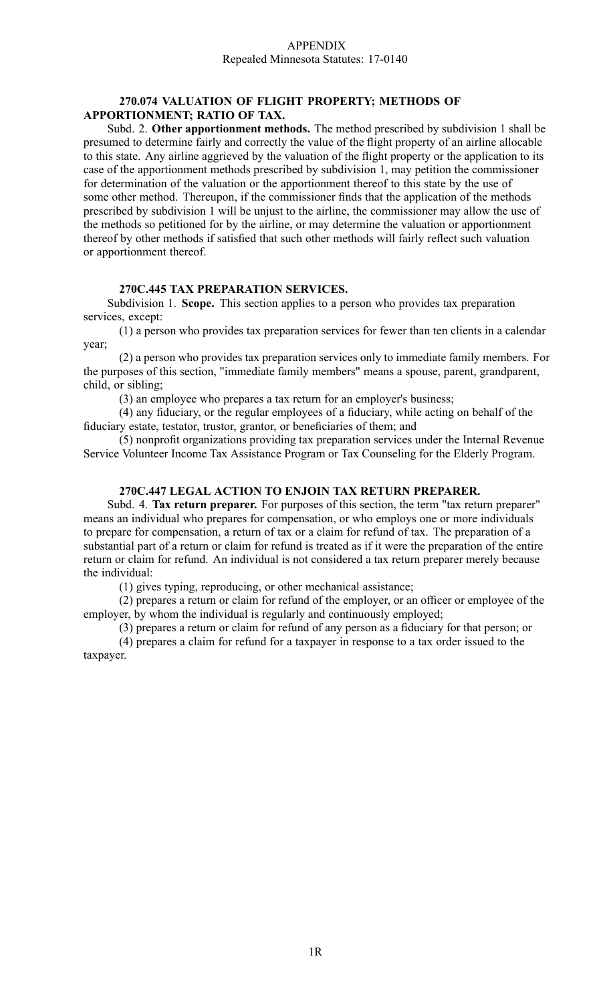#### APPENDIX Repealed Minnesota Statutes: 17-0140

#### **270.074 VALUATION OF FLIGHT PROPERTY; METHODS OF APPORTIONMENT; RATIO OF TAX.**

Subd. 2. **Other apportionment methods.** The method prescribed by subdivision 1 shall be presumed to determine fairly and correctly the value of the flight property of an airline allocable to this state. Any airline aggrieved by the valuation of the flight property or the application to its case of the apportionment methods prescribed by subdivision 1, may petition the commissioner for determination of the valuation or the apportionment thereof to this state by the use of some other method. Thereupon, if the commissioner finds that the application of the methods prescribed by subdivision 1 will be unjust to the airline, the commissioner may allow the use of the methods so petitioned for by the airline, or may determine the valuation or apportionment thereof by other methods if satisfied that such other methods will fairly reflect such valuation or apportionment thereof.

#### **270C.445 TAX PREPARATION SERVICES.**

Subdivision 1. **Scope.** This section applies to <sup>a</sup> person who provides tax preparation services, except:

(1) <sup>a</sup> person who provides tax preparation services for fewer than ten clients in <sup>a</sup> calendar year;

(2) <sup>a</sup> person who provides tax preparation services only to immediate family members. For the purposes of this section, "immediate family members" means <sup>a</sup> spouse, parent, grandparent, child, or sibling;

(3) an employee who prepares <sup>a</sup> tax return for an employer's business;

(4) any fiduciary, or the regular employees of <sup>a</sup> fiduciary, while acting on behalf of the fiduciary estate, testator, trustor, grantor, or beneficiaries of them; and

(5) nonprofit organizations providing tax preparation services under the Internal Revenue Service Volunteer Income Tax Assistance Program or Tax Counseling for the Elderly Program.

#### **270C.447 LEGAL ACTION TO ENJOIN TAX RETURN PREPARER.**

Subd. 4. **Tax return preparer.** For purposes of this section, the term "tax return preparer" means an individual who prepares for compensation, or who employs one or more individuals to prepare for compensation, <sup>a</sup> return of tax or <sup>a</sup> claim for refund of tax. The preparation of <sup>a</sup> substantial par<sup>t</sup> of <sup>a</sup> return or claim for refund is treated as if it were the preparation of the entire return or claim for refund. An individual is not considered <sup>a</sup> tax return preparer merely because the individual:

(1) gives typing, reproducing, or other mechanical assistance;

(2) prepares <sup>a</sup> return or claim for refund of the employer, or an officer or employee of the employer, by whom the individual is regularly and continuously employed;

(3) prepares <sup>a</sup> return or claim for refund of any person as <sup>a</sup> fiduciary for that person; or

(4) prepares <sup>a</sup> claim for refund for <sup>a</sup> taxpayer in response to <sup>a</sup> tax order issued to the taxpayer.